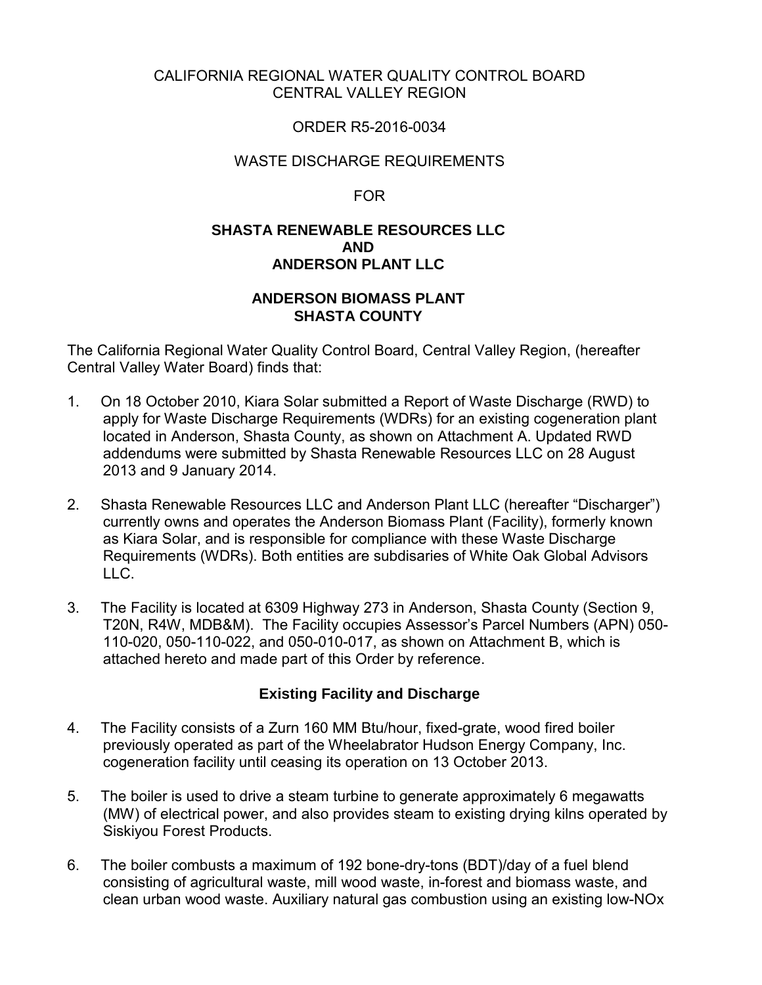## CALIFORNIA REGIONAL WATER QUALITY CONTROL BOARD CENTRAL VALLEY REGION

## ORDER R5-2016-0034

## WASTE DISCHARGE REQUIREMENTS

FOR

## **SHASTA RENEWABLE RESOURCES LLC AND ANDERSON PLANT LLC**

## **ANDERSON BIOMASS PLANT SHASTA COUNTY**

The California Regional Water Quality Control Board, Central Valley Region, (hereafter Central Valley Water Board) finds that:

- 1. On 18 October 2010, Kiara Solar submitted a Report of Waste Discharge (RWD) to apply for Waste Discharge Requirements (WDRs) for an existing cogeneration plant located in Anderson, Shasta County, as shown on Attachment A. Updated RWD addendums were submitted by Shasta Renewable Resources LLC on 28 August 2013 and 9 January 2014.
- 2. Shasta Renewable Resources LLC and Anderson Plant LLC (hereafter "Discharger") currently owns and operates the Anderson Biomass Plant (Facility), formerly known as Kiara Solar, and is responsible for compliance with these Waste Discharge Requirements (WDRs). Both entities are subdisaries of White Oak Global Advisors LLC.
- 3. The Facility is located at 6309 Highway 273 in Anderson, Shasta County (Section 9, T20N, R4W, MDB&M). The Facility occupies Assessor's Parcel Numbers (APN) 050- 110-020, 050-110-022, and 050-010-017, as shown on Attachment B, which is attached hereto and made part of this Order by reference.

## **Existing Facility and Discharge**

- 4. The Facility consists of a Zurn 160 MM Btu/hour, fixed-grate, wood fired boiler previously operated as part of the Wheelabrator Hudson Energy Company, Inc. cogeneration facility until ceasing its operation on 13 October 2013.
- 5. The boiler is used to drive a steam turbine to generate approximately 6 megawatts (MW) of electrical power, and also provides steam to existing drying kilns operated by Siskiyou Forest Products.
- 6. The boiler combusts a maximum of 192 bone-dry-tons (BDT)/day of a fuel blend consisting of agricultural waste, mill wood waste, in-forest and biomass waste, and clean urban wood waste. Auxiliary natural gas combustion using an existing low-NOx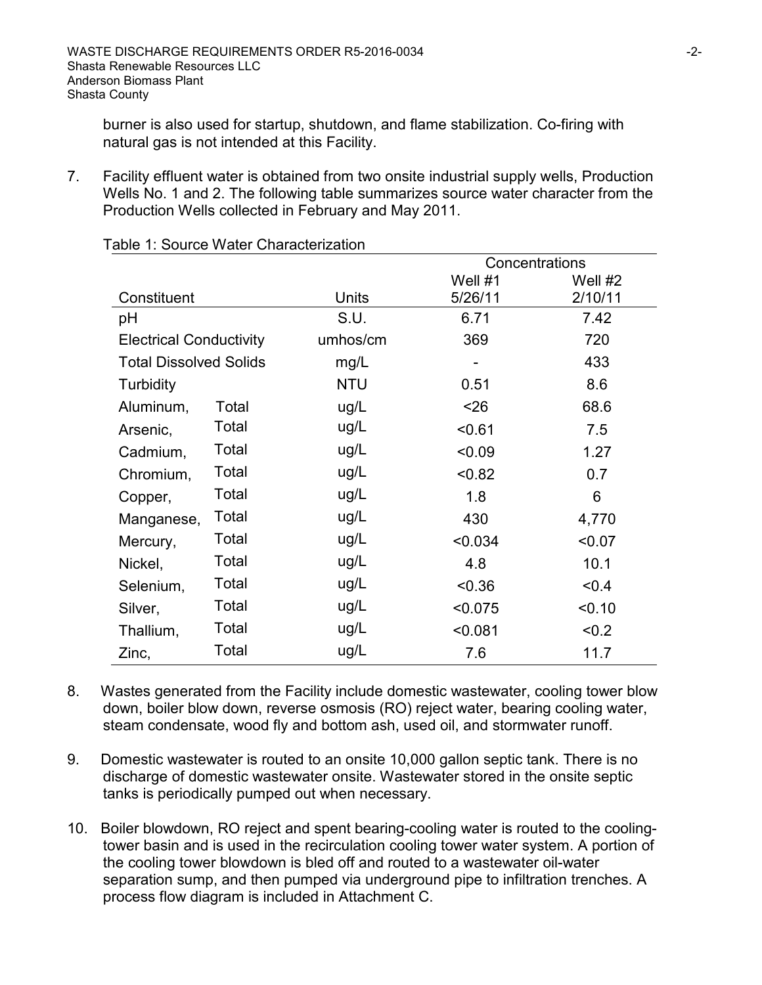burner is also used for startup, shutdown, and flame stabilization. Co-firing with natural gas is not intended at this Facility.

7. Facility effluent water is obtained from two onsite industrial supply wells, Production Wells No. 1 and 2. The following table summarizes source water character from the Production Wells collected in February and May 2011.

|                                |       |              | Concentrations |         |  |
|--------------------------------|-------|--------------|----------------|---------|--|
|                                |       |              | Well #1        | Well #2 |  |
| Constituent                    |       | <b>Units</b> | 5/26/11        | 2/10/11 |  |
| pH                             |       | S.U.         | 6.71           | 7.42    |  |
| <b>Electrical Conductivity</b> |       | umhos/cm     | 369            | 720     |  |
| <b>Total Dissolved Solids</b>  |       | mg/L         |                | 433     |  |
| Turbidity                      |       | <b>NTU</b>   | 0.51           | 8.6     |  |
| Aluminum,                      | Total | ug/L         | < 26           | 68.6    |  |
| Arsenic,                       | Total | ug/L         | < 0.61         | 7.5     |  |
| Cadmium,                       | Total | ug/L         | < 0.09         | 1.27    |  |
| Chromium,                      | Total | ug/L         | < 0.82         | 0.7     |  |
| Copper,                        | Total | ug/L         | 1.8            | 6       |  |
| Manganese,                     | Total | ug/L         | 430            | 4,770   |  |
| Mercury,                       | Total | ug/L         | < 0.034        | < 0.07  |  |
| Nickel,                        | Total | ug/L         | 4.8            | 10.1    |  |
| Selenium,                      | Total | ug/L         | < 0.36         | < 0.4   |  |
| Silver,                        | Total | ug/L         | < 0.075        | < 0.10  |  |
| Thallium,                      | Total | ug/L         | < 0.081        | < 0.2   |  |
| Zinc,                          | Total | ug/L         | 7.6            | 11.7    |  |

Table 1: Source Water Characterization

- 8. Wastes generated from the Facility include domestic wastewater, cooling tower blow down, boiler blow down, reverse osmosis (RO) reject water, bearing cooling water, steam condensate, wood fly and bottom ash, used oil, and stormwater runoff.
- 9. Domestic wastewater is routed to an onsite 10,000 gallon septic tank. There is no discharge of domestic wastewater onsite. Wastewater stored in the onsite septic tanks is periodically pumped out when necessary.
- 10. Boiler blowdown, RO reject and spent bearing-cooling water is routed to the coolingtower basin and is used in the recirculation cooling tower water system. A portion of the cooling tower blowdown is bled off and routed to a wastewater oil-water separation sump, and then pumped via underground pipe to infiltration trenches. A process flow diagram is included in Attachment C.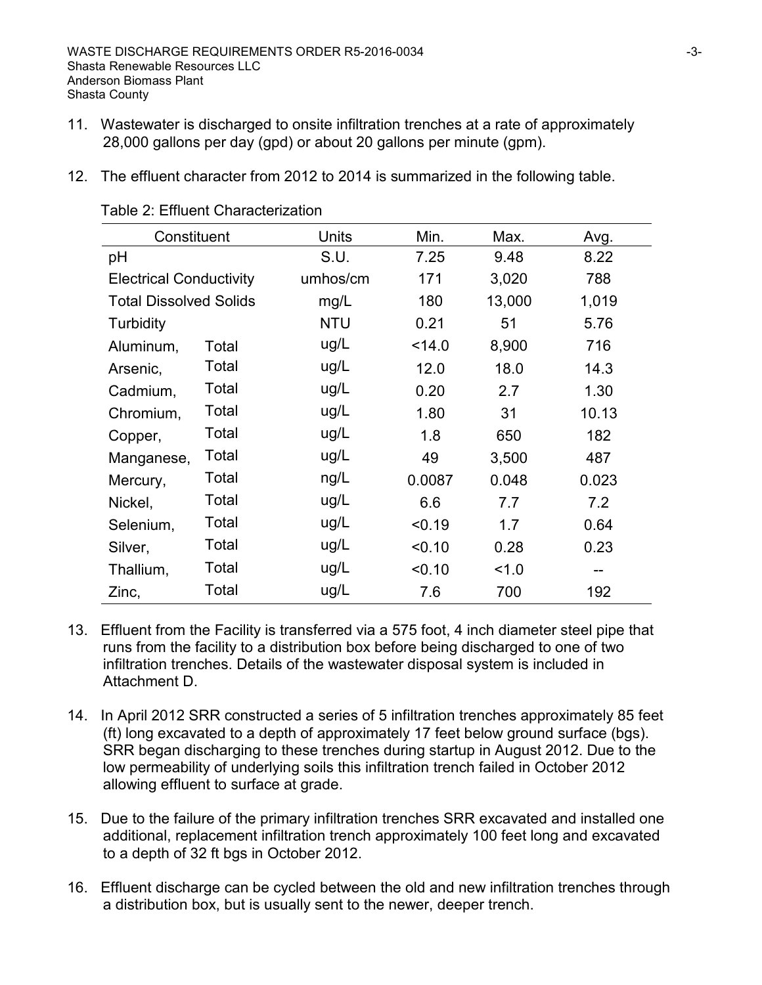- 11. Wastewater is discharged to onsite infiltration trenches at a rate of approximately 28,000 gallons per day (gpd) or about 20 gallons per minute (gpm).
- 12. The effluent character from 2012 to 2014 is summarized in the following table.

| Constituent                    |       | Units      | Min.   | Max.   | Avg.  |
|--------------------------------|-------|------------|--------|--------|-------|
| pH                             |       | S.U.       | 7.25   | 9.48   | 8.22  |
| <b>Electrical Conductivity</b> |       | umhos/cm   | 171    | 3,020  | 788   |
| <b>Total Dissolved Solids</b>  |       | mg/L       | 180    | 13,000 | 1,019 |
| Turbidity                      |       | <b>NTU</b> | 0.21   | 51     | 5.76  |
| Aluminum,                      | Total | ug/L       | < 14.0 | 8,900  | 716   |
| Arsenic,                       | Total | ug/L       | 12.0   | 18.0   | 14.3  |
| Cadmium,                       | Total | ug/L       | 0.20   | 2.7    | 1.30  |
| Chromium,                      | Total | ug/L       | 1.80   | 31     | 10.13 |
| Copper,                        | Total | ug/L       | 1.8    | 650    | 182   |
| Manganese,                     | Total | ug/L       | 49     | 3,500  | 487   |
| Mercury,                       | Total | ng/L       | 0.0087 | 0.048  | 0.023 |
| Nickel,                        | Total | ug/L       | 6.6    | 7.7    | 7.2   |
| Selenium,                      | Total | ug/L       | < 0.19 | 1.7    | 0.64  |
| Silver,                        | Total | ug/L       | < 0.10 | 0.28   | 0.23  |
| Thallium,                      | Total | ug/L       | < 0.10 | 1.0    | --    |
| Zinc,                          | Total | ug/L       | 7.6    | 700    | 192   |

Table 2: Effluent Characterization

- 13. Effluent from the Facility is transferred via a 575 foot, 4 inch diameter steel pipe that runs from the facility to a distribution box before being discharged to one of two infiltration trenches. Details of the wastewater disposal system is included in Attachment D.
- 14. In April 2012 SRR constructed a series of 5 infiltration trenches approximately 85 feet (ft) long excavated to a depth of approximately 17 feet below ground surface (bgs). SRR began discharging to these trenches during startup in August 2012. Due to the low permeability of underlying soils this infiltration trench failed in October 2012 allowing effluent to surface at grade.
- 15. Due to the failure of the primary infiltration trenches SRR excavated and installed one additional, replacement infiltration trench approximately 100 feet long and excavated to a depth of 32 ft bgs in October 2012.
- 16. Effluent discharge can be cycled between the old and new infiltration trenches through a distribution box, but is usually sent to the newer, deeper trench.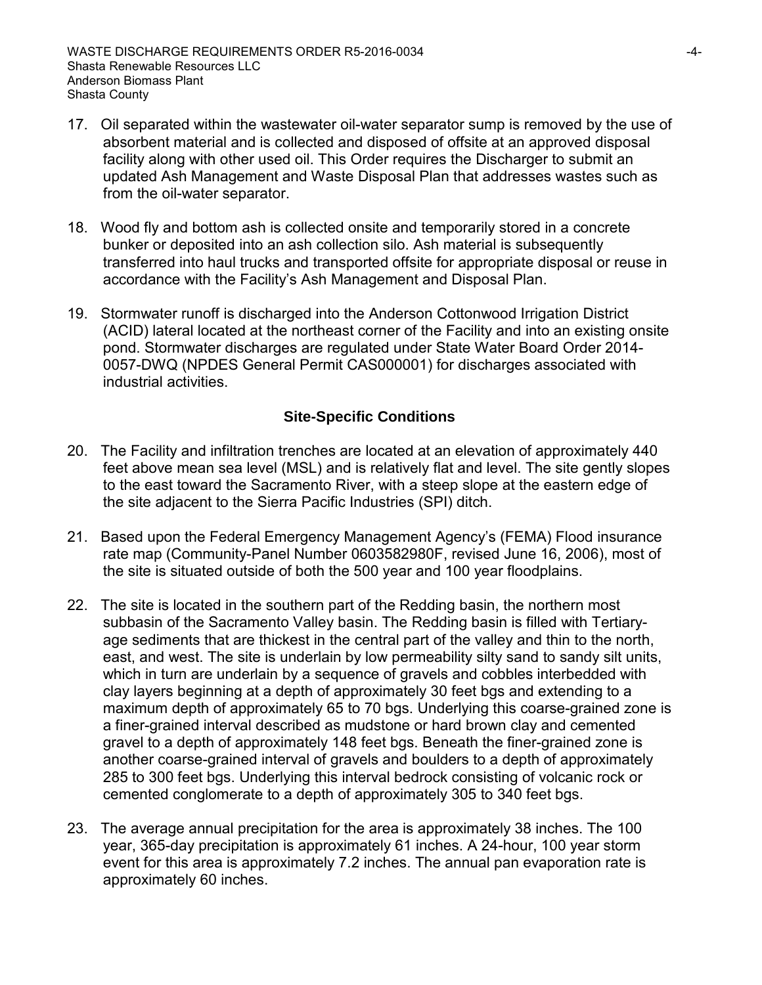- 17. Oil separated within the wastewater oil-water separator sump is removed by the use of absorbent material and is collected and disposed of offsite at an approved disposal facility along with other used oil. This Order requires the Discharger to submit an updated Ash Management and Waste Disposal Plan that addresses wastes such as from the oil-water separator.
- 18. Wood fly and bottom ash is collected onsite and temporarily stored in a concrete bunker or deposited into an ash collection silo. Ash material is subsequently transferred into haul trucks and transported offsite for appropriate disposal or reuse in accordance with the Facility's Ash Management and Disposal Plan.
- 19. Stormwater runoff is discharged into the Anderson Cottonwood Irrigation District (ACID) lateral located at the northeast corner of the Facility and into an existing onsite pond. Stormwater discharges are regulated under State Water Board Order 2014- 0057-DWQ (NPDES General Permit CAS000001) for discharges associated with industrial activities.

## **Site-Specific Conditions**

- 20. The Facility and infiltration trenches are located at an elevation of approximately 440 feet above mean sea level (MSL) and is relatively flat and level. The site gently slopes to the east toward the Sacramento River, with a steep slope at the eastern edge of the site adjacent to the Sierra Pacific Industries (SPI) ditch.
- 21. Based upon the Federal Emergency Management Agency's (FEMA) Flood insurance rate map (Community-Panel Number 0603582980F, revised June 16, 2006), most of the site is situated outside of both the 500 year and 100 year floodplains.
- 22. The site is located in the southern part of the Redding basin, the northern most subbasin of the Sacramento Valley basin. The Redding basin is filled with Tertiaryage sediments that are thickest in the central part of the valley and thin to the north, east, and west. The site is underlain by low permeability silty sand to sandy silt units, which in turn are underlain by a sequence of gravels and cobbles interbedded with clay layers beginning at a depth of approximately 30 feet bgs and extending to a maximum depth of approximately 65 to 70 bgs. Underlying this coarse-grained zone is a finer-grained interval described as mudstone or hard brown clay and cemented gravel to a depth of approximately 148 feet bgs. Beneath the finer-grained zone is another coarse-grained interval of gravels and boulders to a depth of approximately 285 to 300 feet bgs. Underlying this interval bedrock consisting of volcanic rock or cemented conglomerate to a depth of approximately 305 to 340 feet bgs.
- 23. The average annual precipitation for the area is approximately 38 inches. The 100 year, 365-day precipitation is approximately 61 inches. A 24-hour, 100 year storm event for this area is approximately 7.2 inches. The annual pan evaporation rate is approximately 60 inches.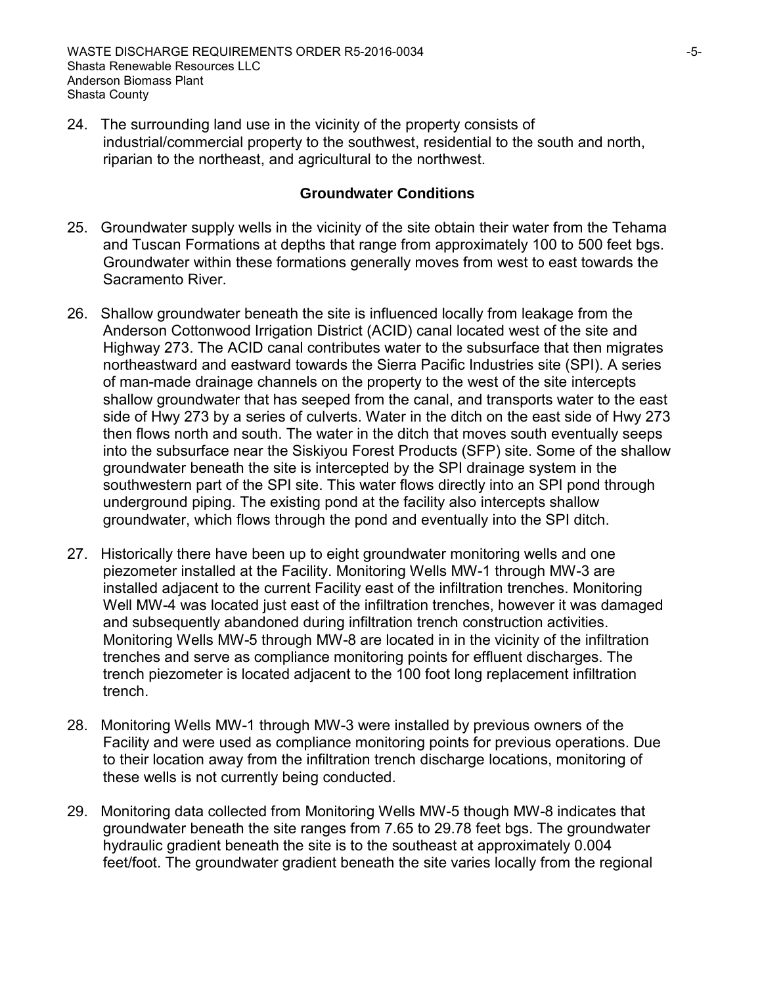24. The surrounding land use in the vicinity of the property consists of industrial/commercial property to the southwest, residential to the south and north, riparian to the northeast, and agricultural to the northwest.

## **Groundwater Conditions**

- 25. Groundwater supply wells in the vicinity of the site obtain their water from the Tehama and Tuscan Formations at depths that range from approximately 100 to 500 feet bgs. Groundwater within these formations generally moves from west to east towards the Sacramento River.
- 26. Shallow groundwater beneath the site is influenced locally from leakage from the Anderson Cottonwood Irrigation District (ACID) canal located west of the site and Highway 273. The ACID canal contributes water to the subsurface that then migrates northeastward and eastward towards the Sierra Pacific Industries site (SPI). A series of man-made drainage channels on the property to the west of the site intercepts shallow groundwater that has seeped from the canal, and transports water to the east side of Hwy 273 by a series of culverts. Water in the ditch on the east side of Hwy 273 then flows north and south. The water in the ditch that moves south eventually seeps into the subsurface near the Siskiyou Forest Products (SFP) site. Some of the shallow groundwater beneath the site is intercepted by the SPI drainage system in the southwestern part of the SPI site. This water flows directly into an SPI pond through underground piping. The existing pond at the facility also intercepts shallow groundwater, which flows through the pond and eventually into the SPI ditch.
- 27. Historically there have been up to eight groundwater monitoring wells and one piezometer installed at the Facility. Monitoring Wells MW-1 through MW-3 are installed adjacent to the current Facility east of the infiltration trenches. Monitoring Well MW-4 was located just east of the infiltration trenches, however it was damaged and subsequently abandoned during infiltration trench construction activities. Monitoring Wells MW-5 through MW-8 are located in in the vicinity of the infiltration trenches and serve as compliance monitoring points for effluent discharges. The trench piezometer is located adjacent to the 100 foot long replacement infiltration trench.
- 28. Monitoring Wells MW-1 through MW-3 were installed by previous owners of the Facility and were used as compliance monitoring points for previous operations. Due to their location away from the infiltration trench discharge locations, monitoring of these wells is not currently being conducted.
- 29. Monitoring data collected from Monitoring Wells MW-5 though MW-8 indicates that groundwater beneath the site ranges from 7.65 to 29.78 feet bgs. The groundwater hydraulic gradient beneath the site is to the southeast at approximately 0.004 feet/foot. The groundwater gradient beneath the site varies locally from the regional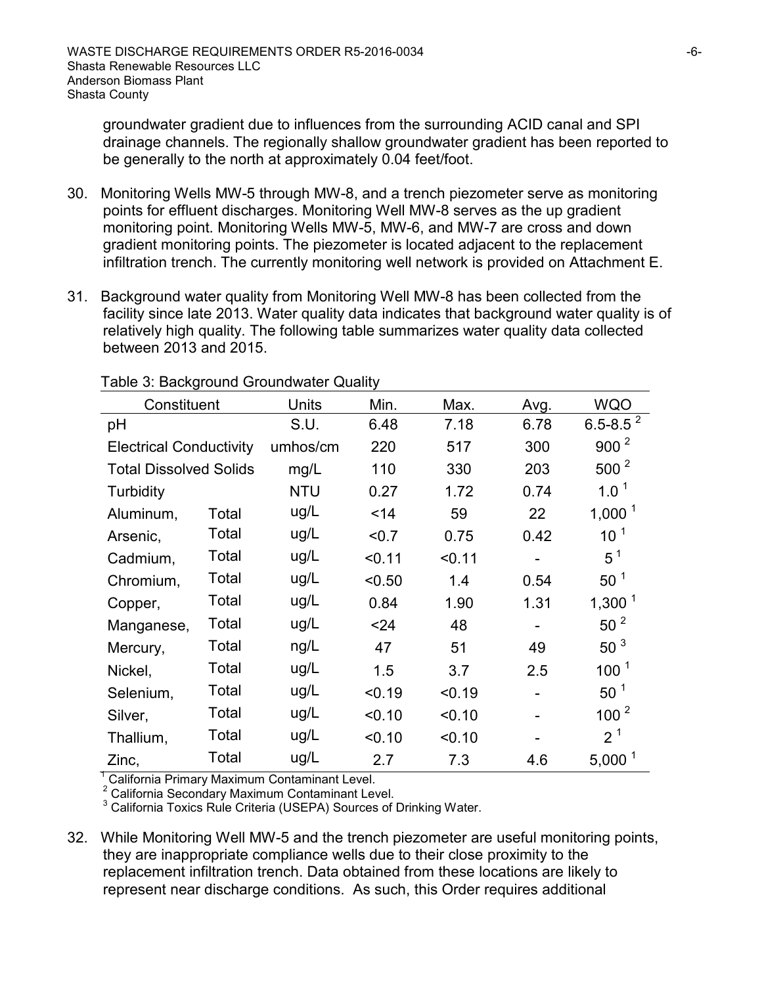groundwater gradient due to influences from the surrounding ACID canal and SPI drainage channels. The regionally shallow groundwater gradient has been reported to be generally to the north at approximately 0.04 feet/foot.

- 30. Monitoring Wells MW-5 through MW-8, and a trench piezometer serve as monitoring points for effluent discharges. Monitoring Well MW-8 serves as the up gradient monitoring point. Monitoring Wells MW-5, MW-6, and MW-7 are cross and down gradient monitoring points. The piezometer is located adjacent to the replacement infiltration trench. The currently monitoring well network is provided on Attachment E.
- 31. Background water quality from Monitoring Well MW-8 has been collected from the facility since late 2013. Water quality data indicates that background water quality is of relatively high quality. The following table summarizes water quality data collected between 2013 and 2015.

| Constituent                    |       | Units      | Min.   | Max.   | Avg. | <b>WQO</b>       |
|--------------------------------|-------|------------|--------|--------|------|------------------|
| pH                             |       | S.U.       | 6.48   | 7.18   | 6.78 | $6.5 - 8.5^2$    |
| <b>Electrical Conductivity</b> |       | umhos/cm   | 220    | 517    | 300  | 900 <sup>2</sup> |
| <b>Total Dissolved Solids</b>  |       | mg/L       | 110    | 330    | 203  | $500^2$          |
| <b>Turbidity</b>               |       | <b>NTU</b> | 0.27   | 1.72   | 0.74 | $1.0^1$          |
| Aluminum,                      | Total | ug/L       | < 14   | 59     | 22   | $1,000^1$        |
| Arsenic,                       | Total | ug/L       | < 0.7  | 0.75   | 0.42 | 10 <sup>1</sup>  |
| Cadmium,                       | Total | ug/L       | < 0.11 | < 0.11 |      | $5^1$            |
| Chromium,                      | Total | ug/L       | < 0.50 | 1.4    | 0.54 | $50^1$           |
| Copper,                        | Total | ug/L       | 0.84   | 1.90   | 1.31 | $1,300^1$        |
| Manganese,                     | Total | ug/L       | < 24   | 48     |      | 50 <sup>2</sup>  |
| Mercury,                       | Total | ng/L       | 47     | 51     | 49   | 50 <sup>3</sup>  |
| Nickel,                        | Total | ug/L       | 1.5    | 3.7    | 2.5  | 100 <sup>1</sup> |
| Selenium,                      | Total | ug/L       | < 0.19 | < 0.19 |      | 50 <sup>1</sup>  |
| Silver,                        | Total | ug/L       | < 0.10 | < 0.10 |      | 100 <sup>2</sup> |
| Thallium,                      | Total | ug/L       | < 0.10 | < 0.10 |      | 2 <sup>1</sup>   |
| Zinc,                          | Total | ug/L       | 2.7    | 7.3    | 4.6  | $5,000^1$        |

Table 3: Background Groundwater Quality

<sup>1</sup> California Primary Maximum Contaminant Level.<br>
<sup>2</sup> California Secondary Maximum Contaminant Level.<br>
<sup>3</sup> California Toxics Rule Criteria (USEPA) Sources of Drinking Water.

32. While Monitoring Well MW-5 and the trench piezometer are useful monitoring points, they are inappropriate compliance wells due to their close proximity to the replacement infiltration trench. Data obtained from these locations are likely to represent near discharge conditions. As such, this Order requires additional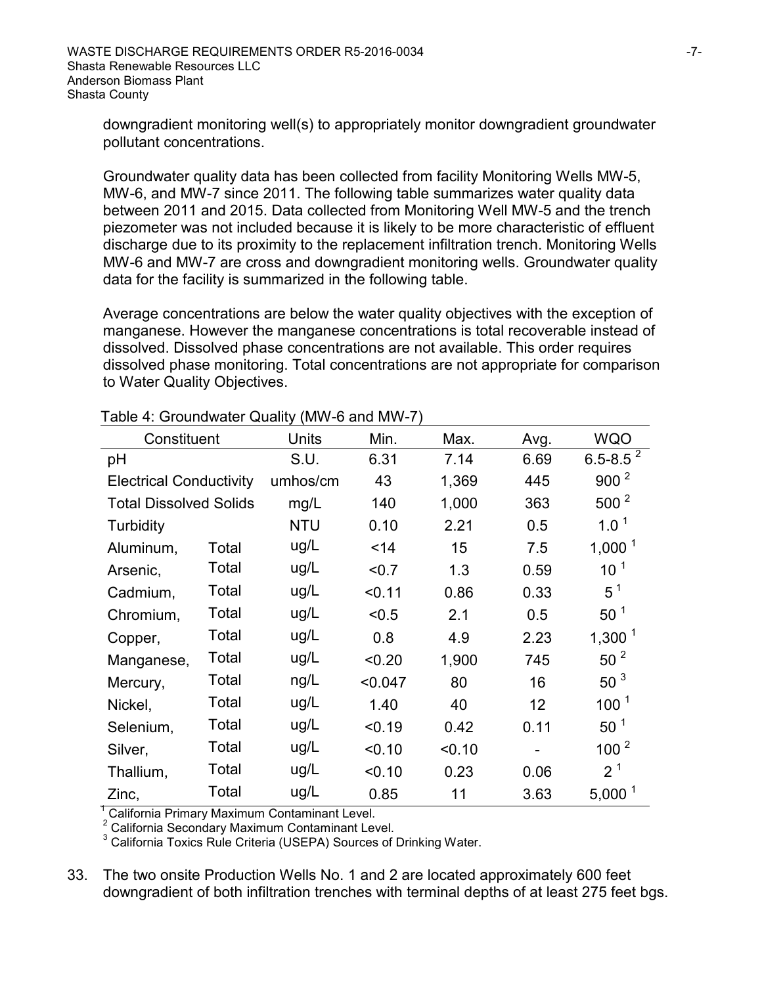downgradient monitoring well(s) to appropriately monitor downgradient groundwater pollutant concentrations.

Groundwater quality data has been collected from facility Monitoring Wells MW-5, MW-6, and MW-7 since 2011. The following table summarizes water quality data between 2011 and 2015. Data collected from Monitoring Well MW-5 and the trench piezometer was not included because it is likely to be more characteristic of effluent discharge due to its proximity to the replacement infiltration trench. Monitoring Wells MW-6 and MW-7 are cross and downgradient monitoring wells. Groundwater quality data for the facility is summarized in the following table.

Average concentrations are below the water quality objectives with the exception of manganese. However the manganese concentrations is total recoverable instead of dissolved. Dissolved phase concentrations are not available. This order requires dissolved phase monitoring. Total concentrations are not appropriate for comparison to Water Quality Objectives.

| Constituent                    |       | Units      | Min.    | Max.   | Avg.              | <b>WQO</b>       |
|--------------------------------|-------|------------|---------|--------|-------------------|------------------|
| pH                             |       | S.U.       | 6.31    | 7.14   | 6.69              | $6.5 - 8.5^2$    |
| <b>Electrical Conductivity</b> |       | umhos/cm   | 43      | 1,369  | 445               | 900 <sup>2</sup> |
| <b>Total Dissolved Solids</b>  |       | mg/L       | 140     | 1,000  | 363               | $500^2$          |
| <b>Turbidity</b>               |       | <b>NTU</b> | 0.10    | 2.21   | 0.5               | $1.0^1$          |
| Aluminum,                      | Total | ug/L       | < 14    | 15     | 7.5               | 1,000 $1$        |
| Arsenic,                       | Total | ug/L       | < 0.7   | 1.3    | 0.59              | 10 <sup>1</sup>  |
| Cadmium,                       | Total | ug/L       | < 0.11  | 0.86   | 0.33              | $5^1$            |
| Chromium,                      | Total | ug/L       | < 0.5   | 2.1    | 0.5               | 50 <sup>1</sup>  |
| Copper,                        | Total | ug/L       | 0.8     | 4.9    | 2.23              | $1,300^1$        |
| Manganese,                     | Total | ug/L       | < 0.20  | 1,900  | 745               | 50 <sup>2</sup>  |
| Mercury,                       | Total | ng/L       | < 0.047 | 80     | 16                | 50 <sup>3</sup>  |
| Nickel,                        | Total | ug/L       | 1.40    | 40     | $12 \overline{ }$ | 100 <sup>1</sup> |
| Selenium,                      | Total | ug/L       | < 0.19  | 0.42   | 0.11              | $50^1$           |
| Silver,                        | Total | ug/L       | < 0.10  | < 0.10 |                   | 100 <sup>2</sup> |
| Thallium,                      | Total | ug/L       | < 0.10  | 0.23   | 0.06              | 2 <sup>1</sup>   |
| Zinc,                          | Total | ug/L       | 0.85    | 11     | 3.63              | $5,000^1$        |

Table 4: Groundwater Quality (MW-6 and MW-7)

<sup>1</sup> California Primary Maximum Contaminant Level.

<sup>2</sup> California Secondary Maximum Contaminant Level.

<sup>3</sup> California Toxics Rule Criteria (USEPA) Sources of Drinking Water.

33. The two onsite Production Wells No. 1 and 2 are located approximately 600 feet downgradient of both infiltration trenches with terminal depths of at least 275 feet bgs.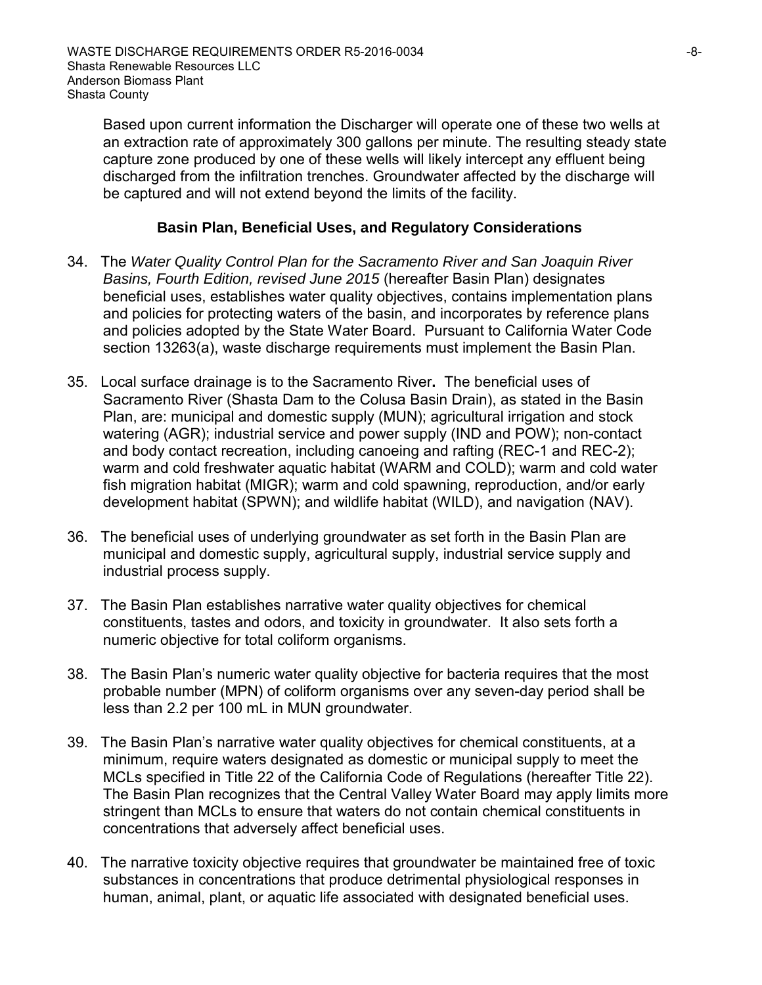Based upon current information the Discharger will operate one of these two wells at an extraction rate of approximately 300 gallons per minute. The resulting steady state capture zone produced by one of these wells will likely intercept any effluent being discharged from the infiltration trenches. Groundwater affected by the discharge will be captured and will not extend beyond the limits of the facility.

## **Basin Plan, Beneficial Uses, and Regulatory Considerations**

- 34. The *Water Quality Control Plan for the Sacramento River and San Joaquin River Basins, Fourth Edition, revised June 2015* (hereafter Basin Plan) designates beneficial uses, establishes water quality objectives, contains implementation plans and policies for protecting waters of the basin, and incorporates by reference plans and policies adopted by the State Water Board. Pursuant to California Water Code section 13263(a), waste discharge requirements must implement the Basin Plan.
- 35. Local surface drainage is to the Sacramento River**.** The beneficial uses of Sacramento River (Shasta Dam to the Colusa Basin Drain), as stated in the Basin Plan, are: municipal and domestic supply (MUN); agricultural irrigation and stock watering (AGR); industrial service and power supply (IND and POW); non-contact and body contact recreation, including canoeing and rafting (REC-1 and REC-2); warm and cold freshwater aquatic habitat (WARM and COLD); warm and cold water fish migration habitat (MIGR); warm and cold spawning, reproduction, and/or early development habitat (SPWN); and wildlife habitat (WILD), and navigation (NAV).
- 36. The beneficial uses of underlying groundwater as set forth in the Basin Plan are municipal and domestic supply, agricultural supply, industrial service supply and industrial process supply.
- 37. The Basin Plan establishes narrative water quality objectives for chemical constituents, tastes and odors, and toxicity in groundwater. It also sets forth a numeric objective for total coliform organisms.
- 38. The Basin Plan's numeric water quality objective for bacteria requires that the most probable number (MPN) of coliform organisms over any seven-day period shall be less than 2.2 per 100 mL in MUN groundwater.
- 39. The Basin Plan's narrative water quality objectives for chemical constituents, at a minimum, require waters designated as domestic or municipal supply to meet the MCLs specified in Title 22 of the California Code of Regulations (hereafter Title 22). The Basin Plan recognizes that the Central Valley Water Board may apply limits more stringent than MCLs to ensure that waters do not contain chemical constituents in concentrations that adversely affect beneficial uses.
- 40. The narrative toxicity objective requires that groundwater be maintained free of toxic substances in concentrations that produce detrimental physiological responses in human, animal, plant, or aquatic life associated with designated beneficial uses.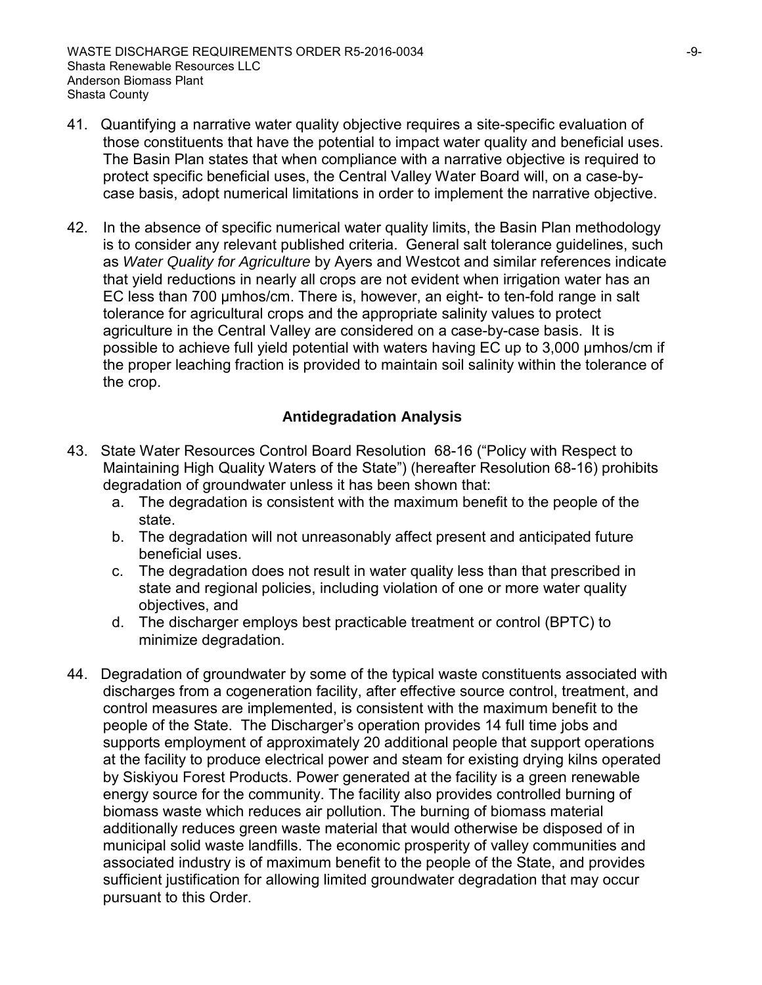- 41. Quantifying a narrative water quality objective requires a site-specific evaluation of those constituents that have the potential to impact water quality and beneficial uses. The Basin Plan states that when compliance with a narrative objective is required to protect specific beneficial uses, the Central Valley Water Board will, on a case-bycase basis, adopt numerical limitations in order to implement the narrative objective.
- 42. In the absence of specific numerical water quality limits, the Basin Plan methodology is to consider any relevant published criteria. General salt tolerance guidelines, such as *Water Quality for Agriculture* by Ayers and Westcot and similar references indicate that yield reductions in nearly all crops are not evident when irrigation water has an EC less than 700 μmhos/cm. There is, however, an eight- to ten-fold range in salt tolerance for agricultural crops and the appropriate salinity values to protect agriculture in the Central Valley are considered on a case-by-case basis. It is possible to achieve full yield potential with waters having EC up to 3,000 μmhos/cm if the proper leaching fraction is provided to maintain soil salinity within the tolerance of the crop.

## **Antidegradation Analysis**

- 43. State Water Resources Control Board Resolution 68-16 ("Policy with Respect to Maintaining High Quality Waters of the State") (hereafter Resolution 68-16) prohibits degradation of groundwater unless it has been shown that:
	- a. The degradation is consistent with the maximum benefit to the people of the state.
	- b. The degradation will not unreasonably affect present and anticipated future beneficial uses.
	- c. The degradation does not result in water quality less than that prescribed in state and regional policies, including violation of one or more water quality objectives, and
	- d. The discharger employs best practicable treatment or control (BPTC) to minimize degradation.
- 44. Degradation of groundwater by some of the typical waste constituents associated with discharges from a cogeneration facility, after effective source control, treatment, and control measures are implemented, is consistent with the maximum benefit to the people of the State. The Discharger's operation provides 14 full time jobs and supports employment of approximately 20 additional people that support operations at the facility to produce electrical power and steam for existing drying kilns operated by Siskiyou Forest Products. Power generated at the facility is a green renewable energy source for the community. The facility also provides controlled burning of biomass waste which reduces air pollution. The burning of biomass material additionally reduces green waste material that would otherwise be disposed of in municipal solid waste landfills. The economic prosperity of valley communities and associated industry is of maximum benefit to the people of the State, and provides sufficient justification for allowing limited groundwater degradation that may occur pursuant to this Order.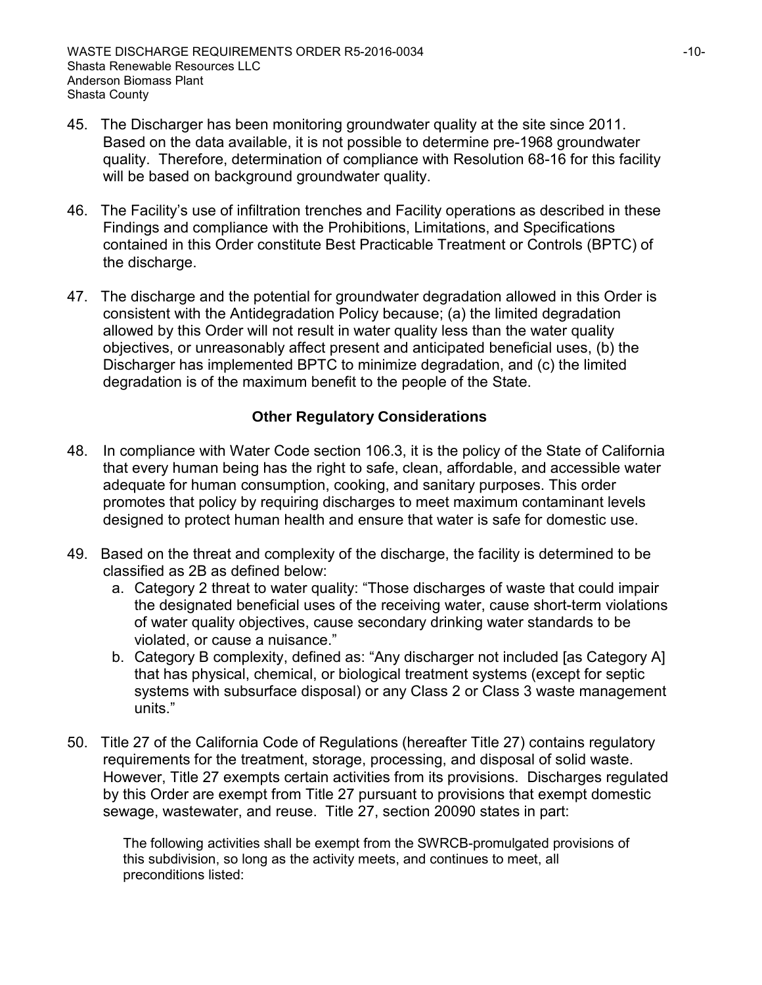- 45. The Discharger has been monitoring groundwater quality at the site since 2011. Based on the data available, it is not possible to determine pre-1968 groundwater quality. Therefore, determination of compliance with Resolution 68-16 for this facility will be based on background groundwater quality.
- 46. The Facility's use of infiltration trenches and Facility operations as described in these Findings and compliance with the Prohibitions, Limitations, and Specifications contained in this Order constitute Best Practicable Treatment or Controls (BPTC) of the discharge.
- 47. The discharge and the potential for groundwater degradation allowed in this Order is consistent with the Antidegradation Policy because; (a) the limited degradation allowed by this Order will not result in water quality less than the water quality objectives, or unreasonably affect present and anticipated beneficial uses, (b) the Discharger has implemented BPTC to minimize degradation, and (c) the limited degradation is of the maximum benefit to the people of the State.

## **Other Regulatory Considerations**

- 48. In compliance with Water Code section 106.3, it is the policy of the State of California that every human being has the right to safe, clean, affordable, and accessible water adequate for human consumption, cooking, and sanitary purposes. This order promotes that policy by requiring discharges to meet maximum contaminant levels designed to protect human health and ensure that water is safe for domestic use.
- 49. Based on the threat and complexity of the discharge, the facility is determined to be classified as 2B as defined below:
	- a. Category 2 threat to water quality: "Those discharges of waste that could impair the designated beneficial uses of the receiving water, cause short-term violations of water quality objectives, cause secondary drinking water standards to be violated, or cause a nuisance."
	- b. Category B complexity, defined as: "Any discharger not included [as Category A] that has physical, chemical, or biological treatment systems (except for septic systems with subsurface disposal) or any Class 2 or Class 3 waste management units."
- 50. Title 27 of the California Code of Regulations (hereafter Title 27) contains regulatory requirements for the treatment, storage, processing, and disposal of solid waste. However, Title 27 exempts certain activities from its provisions. Discharges regulated by this Order are exempt from Title 27 pursuant to provisions that exempt domestic sewage, wastewater, and reuse. Title 27, section 20090 states in part:

The following activities shall be exempt from the SWRCB-promulgated provisions of this subdivision, so long as the activity meets, and continues to meet, all preconditions listed: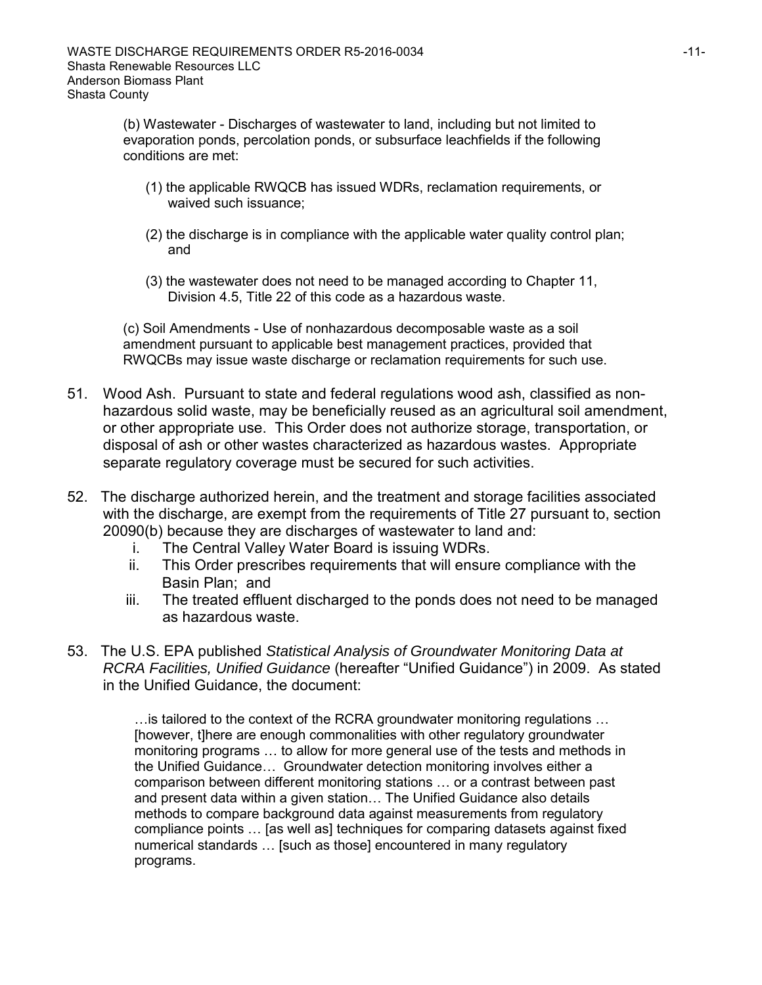(b) Wastewater - Discharges of wastewater to land, including but not limited to evaporation ponds, percolation ponds, or subsurface leachfields if the following conditions are met:

- (1) the applicable RWQCB has issued WDRs, reclamation requirements, or waived such issuance;
- (2) the discharge is in compliance with the applicable water quality control plan; and
- (3) the wastewater does not need to be managed according to Chapter 11, Division 4.5, Title 22 of this code as a hazardous waste.

(c) Soil Amendments - Use of nonhazardous decomposable waste as a soil amendment pursuant to applicable best management practices, provided that RWQCBs may issue waste discharge or reclamation requirements for such use.

- 51. Wood Ash. Pursuant to state and federal regulations wood ash, classified as nonhazardous solid waste, may be beneficially reused as an agricultural soil amendment, or other appropriate use. This Order does not authorize storage, transportation, or disposal of ash or other wastes characterized as hazardous wastes. Appropriate separate regulatory coverage must be secured for such activities.
- 52. The discharge authorized herein, and the treatment and storage facilities associated with the discharge, are exempt from the requirements of Title 27 pursuant to, section 20090(b) because they are discharges of wastewater to land and:
	- i. The Central Valley Water Board is issuing WDRs.
	- ii. This Order prescribes requirements that will ensure compliance with the Basin Plan; and
	- iii. The treated effluent discharged to the ponds does not need to be managed as hazardous waste.
- 53. The U.S. EPA published *Statistical Analysis of Groundwater Monitoring Data at RCRA Facilities, Unified Guidance* (hereafter "Unified Guidance") in 2009. As stated in the Unified Guidance, the document:

…is tailored to the context of the RCRA groundwater monitoring regulations … [however, t]here are enough commonalities with other regulatory groundwater monitoring programs … to allow for more general use of the tests and methods in the Unified Guidance… Groundwater detection monitoring involves either a comparison between different monitoring stations … or a contrast between past and present data within a given station… The Unified Guidance also details methods to compare background data against measurements from regulatory compliance points … [as well as] techniques for comparing datasets against fixed numerical standards … [such as those] encountered in many regulatory programs.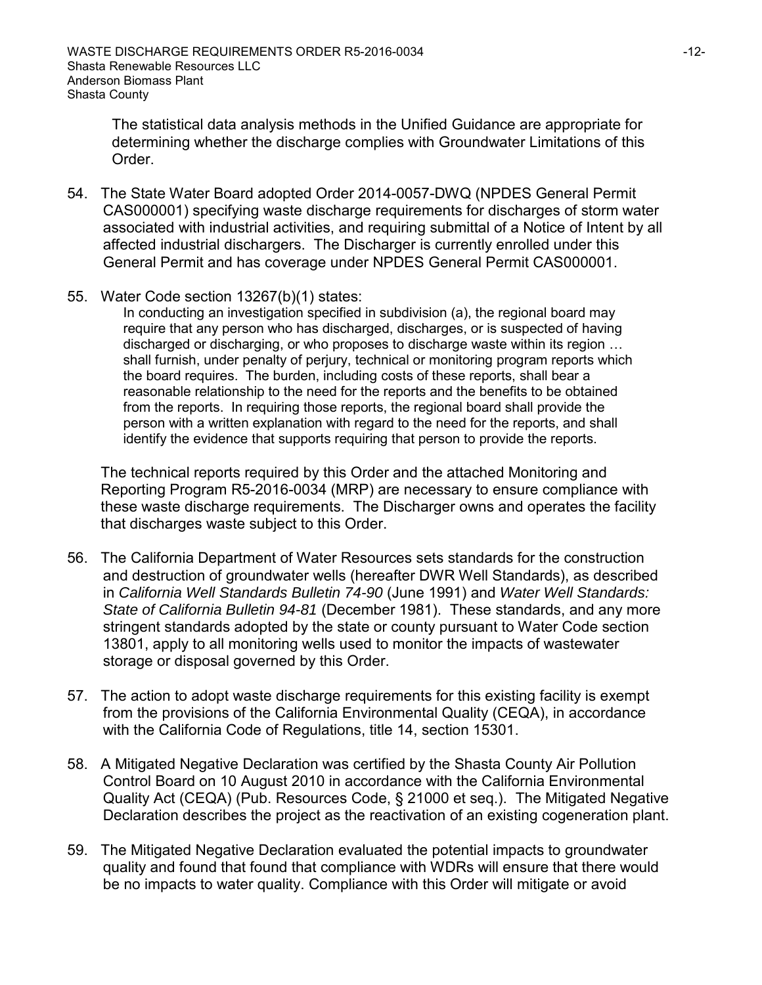The statistical data analysis methods in the Unified Guidance are appropriate for determining whether the discharge complies with Groundwater Limitations of this Order.

- 54. The State Water Board adopted Order 2014-0057-DWQ (NPDES General Permit CAS000001) specifying waste discharge requirements for discharges of storm water associated with industrial activities, and requiring submittal of a Notice of Intent by all affected industrial dischargers. The Discharger is currently enrolled under this General Permit and has coverage under NPDES General Permit CAS000001.
- 55. Water Code section 13267(b)(1) states:

In conducting an investigation specified in subdivision (a), the regional board may require that any person who has discharged, discharges, or is suspected of having discharged or discharging, or who proposes to discharge waste within its region … shall furnish, under penalty of perjury, technical or monitoring program reports which the board requires. The burden, including costs of these reports, shall bear a reasonable relationship to the need for the reports and the benefits to be obtained from the reports. In requiring those reports, the regional board shall provide the person with a written explanation with regard to the need for the reports, and shall identify the evidence that supports requiring that person to provide the reports.

The technical reports required by this Order and the attached Monitoring and Reporting Program R5-2016-0034 (MRP) are necessary to ensure compliance with these waste discharge requirements. The Discharger owns and operates the facility that discharges waste subject to this Order.

- 56. The California Department of Water Resources sets standards for the construction and destruction of groundwater wells (hereafter DWR Well Standards), as described in *California Well Standards Bulletin 74-90* (June 1991) and *Water Well Standards: State of California Bulletin 94-81* (December 1981). These standards, and any more stringent standards adopted by the state or county pursuant to Water Code section 13801, apply to all monitoring wells used to monitor the impacts of wastewater storage or disposal governed by this Order.
- 57. The action to adopt waste discharge requirements for this existing facility is exempt from the provisions of the California Environmental Quality (CEQA), in accordance with the California Code of Regulations, title 14, section 15301.
- 58. A Mitigated Negative Declaration was certified by the Shasta County Air Pollution Control Board on 10 August 2010 in accordance with the California Environmental Quality Act (CEQA) (Pub. Resources Code, § 21000 et seq.). The Mitigated Negative Declaration describes the project as the reactivation of an existing cogeneration plant.
- 59. The Mitigated Negative Declaration evaluated the potential impacts to groundwater quality and found that found that compliance with WDRs will ensure that there would be no impacts to water quality. Compliance with this Order will mitigate or avoid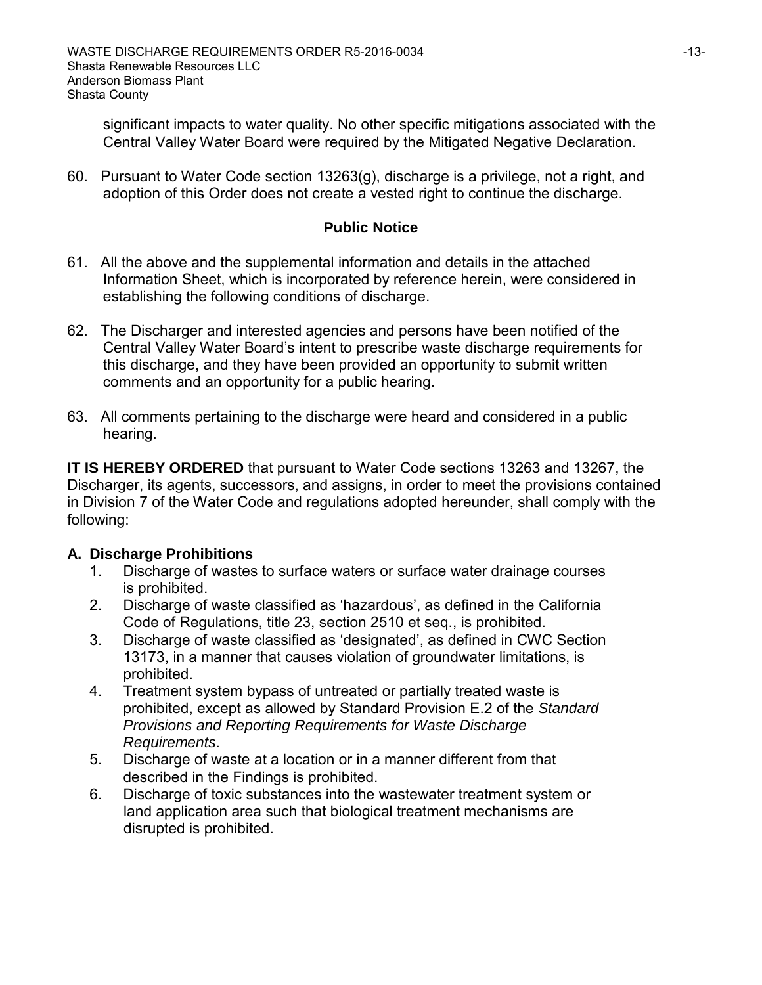significant impacts to water quality. No other specific mitigations associated with the Central Valley Water Board were required by the Mitigated Negative Declaration.

60. Pursuant to Water Code section 13263(g), discharge is a privilege, not a right, and adoption of this Order does not create a vested right to continue the discharge.

## **Public Notice**

- 61. All the above and the supplemental information and details in the attached Information Sheet, which is incorporated by reference herein, were considered in establishing the following conditions of discharge.
- 62. The Discharger and interested agencies and persons have been notified of the Central Valley Water Board's intent to prescribe waste discharge requirements for this discharge, and they have been provided an opportunity to submit written comments and an opportunity for a public hearing.
- 63. All comments pertaining to the discharge were heard and considered in a public hearing.

**IT IS HEREBY ORDERED** that pursuant to Water Code sections 13263 and 13267, the Discharger, its agents, successors, and assigns, in order to meet the provisions contained in Division 7 of the Water Code and regulations adopted hereunder, shall comply with the following:

## **A. Discharge Prohibitions**

- 1. Discharge of wastes to surface waters or surface water drainage courses is prohibited.
- 2. Discharge of waste classified as 'hazardous', as defined in the California Code of Regulations, title 23, section 2510 et seq., is prohibited.
- 3. Discharge of waste classified as 'designated', as defined in CWC Section 13173, in a manner that causes violation of groundwater limitations, is prohibited.
- 4. Treatment system bypass of untreated or partially treated waste is prohibited, except as allowed by Standard Provision E.2 of the *Standard Provisions and Reporting Requirements for Waste Discharge Requirements*.
- 5. Discharge of waste at a location or in a manner different from that described in the Findings is prohibited.
- 6. Discharge of toxic substances into the wastewater treatment system or land application area such that biological treatment mechanisms are disrupted is prohibited.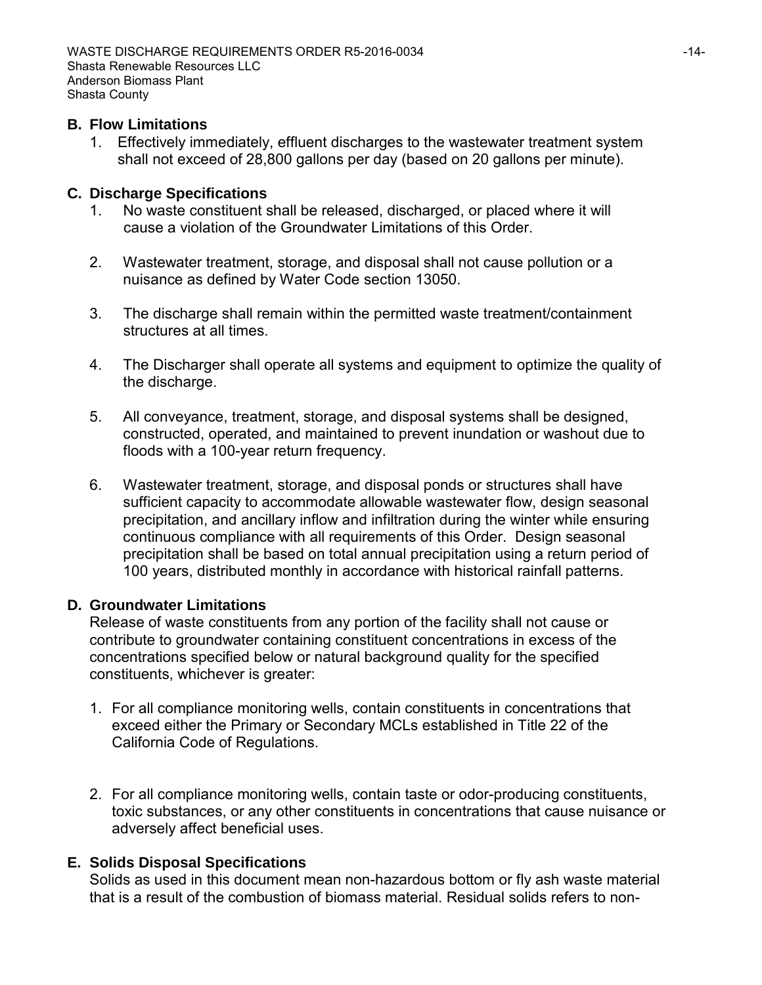### **B. Flow Limitations**

1. Effectively immediately, effluent discharges to the wastewater treatment system shall not exceed of 28,800 gallons per day (based on 20 gallons per minute).

## **C. Discharge Specifications**

- 1. No waste constituent shall be released, discharged, or placed where it will cause a violation of the Groundwater Limitations of this Order.
- 2. Wastewater treatment, storage, and disposal shall not cause pollution or a nuisance as defined by Water Code section 13050.
- 3. The discharge shall remain within the permitted waste treatment/containment structures at all times.
- 4. The Discharger shall operate all systems and equipment to optimize the quality of the discharge.
- 5. All conveyance, treatment, storage, and disposal systems shall be designed, constructed, operated, and maintained to prevent inundation or washout due to floods with a 100-year return frequency.
- 6. Wastewater treatment, storage, and disposal ponds or structures shall have sufficient capacity to accommodate allowable wastewater flow, design seasonal precipitation, and ancillary inflow and infiltration during the winter while ensuring continuous compliance with all requirements of this Order. Design seasonal precipitation shall be based on total annual precipitation using a return period of 100 years, distributed monthly in accordance with historical rainfall patterns.

### **D. Groundwater Limitations**

Release of waste constituents from any portion of the facility shall not cause or contribute to groundwater containing constituent concentrations in excess of the concentrations specified below or natural background quality for the specified constituents, whichever is greater:

- 1. For all compliance monitoring wells, contain constituents in concentrations that exceed either the Primary or Secondary MCLs established in Title 22 of the California Code of Regulations.
- 2. For all compliance monitoring wells, contain taste or odor-producing constituents, toxic substances, or any other constituents in concentrations that cause nuisance or adversely affect beneficial uses.

## **E. Solids Disposal Specifications**

Solids as used in this document mean non-hazardous bottom or fly ash waste material that is a result of the combustion of biomass material. Residual solids refers to non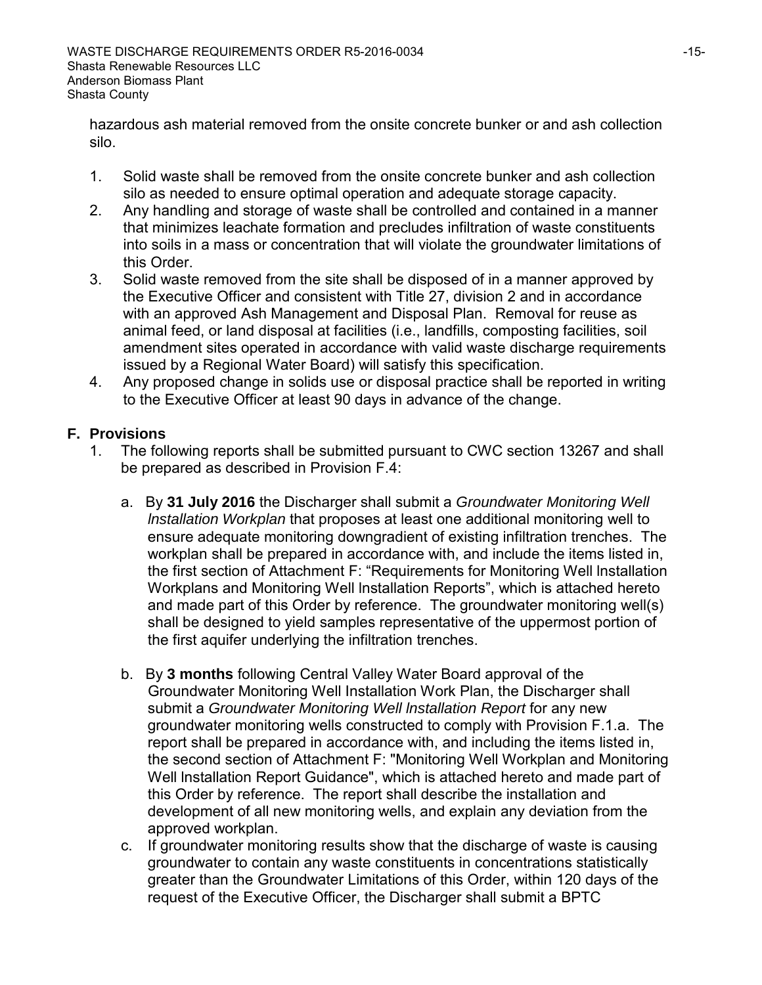hazardous ash material removed from the onsite concrete bunker or and ash collection silo.

- 1. Solid waste shall be removed from the onsite concrete bunker and ash collection silo as needed to ensure optimal operation and adequate storage capacity.
- 2. Any handling and storage of waste shall be controlled and contained in a manner that minimizes leachate formation and precludes infiltration of waste constituents into soils in a mass or concentration that will violate the groundwater limitations of this Order.
- 3. Solid waste removed from the site shall be disposed of in a manner approved by the Executive Officer and consistent with Title 27, division 2 and in accordance with an approved Ash Management and Disposal Plan. Removal for reuse as animal feed, or land disposal at facilities (i.e., landfills, composting facilities, soil amendment sites operated in accordance with valid waste discharge requirements issued by a Regional Water Board) will satisfy this specification.
- 4. Any proposed change in solids use or disposal practice shall be reported in writing to the Executive Officer at least 90 days in advance of the change.

## **F. Provisions**

- 1. The following reports shall be submitted pursuant to CWC section 13267 and shall be prepared as described in Provision F.4:
	- a. By **31 July 2016** the Discharger shall submit a *Groundwater Monitoring Well lnstallation Workplan* that proposes at least one additional monitoring well to ensure adequate monitoring downgradient of existing infiltration trenches. The workplan shall be prepared in accordance with, and include the items listed in, the first section of Attachment F: "Requirements for Monitoring Well lnstallation Workplans and Monitoring Well lnstallation Reports", which is attached hereto and made part of this Order by reference. The groundwater monitoring well(s) shall be designed to yield samples representative of the uppermost portion of the first aquifer underlying the infiltration trenches.
	- b. By **3 months** following Central Valley Water Board approval of the Groundwater Monitoring Well Installation Work Plan, the Discharger shall submit a *Groundwater Monitoring Well lnstallation Report* for any new groundwater monitoring wells constructed to comply with Provision F.1.a. The report shall be prepared in accordance with, and including the items listed in, the second section of Attachment F: "Monitoring Well Workplan and Monitoring Well lnstallation Report Guidance", which is attached hereto and made part of this Order by reference. The report shall describe the installation and development of all new monitoring wells, and explain any deviation from the approved workplan.
	- c. If groundwater monitoring results show that the discharge of waste is causing groundwater to contain any waste constituents in concentrations statistically greater than the Groundwater Limitations of this Order, within 120 days of the request of the Executive Officer, the Discharger shall submit a BPTC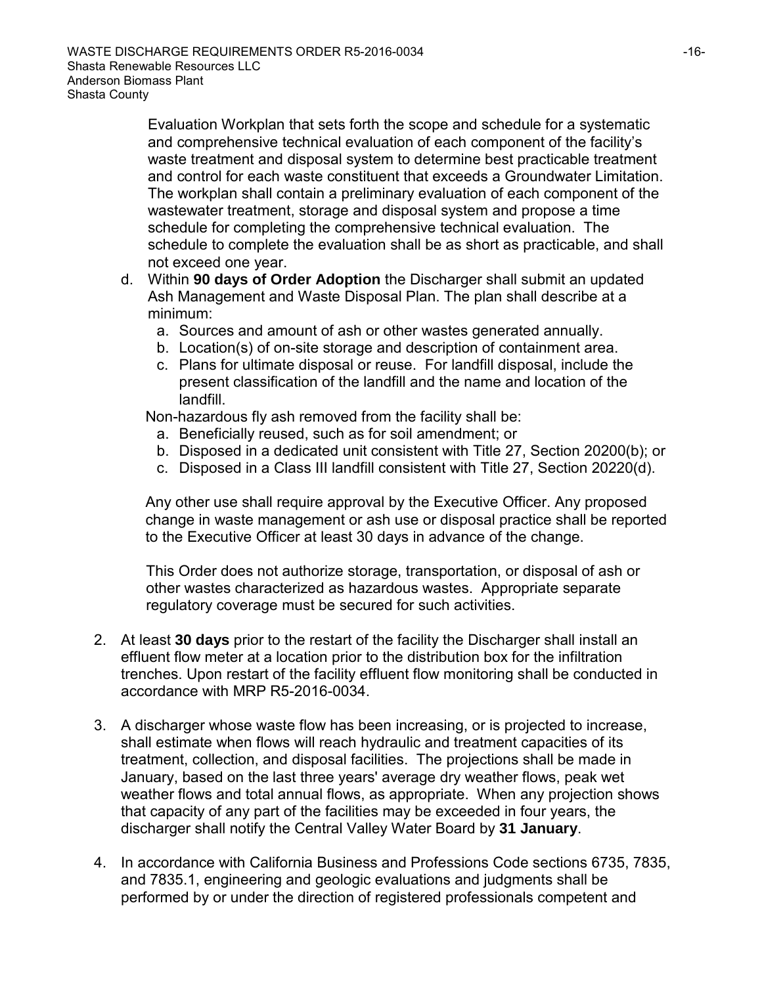Evaluation Workplan that sets forth the scope and schedule for a systematic and comprehensive technical evaluation of each component of the facility's waste treatment and disposal system to determine best practicable treatment and control for each waste constituent that exceeds a Groundwater Limitation. The workplan shall contain a preliminary evaluation of each component of the wastewater treatment, storage and disposal system and propose a time schedule for completing the comprehensive technical evaluation. The schedule to complete the evaluation shall be as short as practicable, and shall not exceed one year.

- d. Within **90 days of Order Adoption** the Discharger shall submit an updated Ash Management and Waste Disposal Plan. The plan shall describe at a minimum:
	- a. Sources and amount of ash or other wastes generated annually.
	- b. Location(s) of on-site storage and description of containment area.
	- c. Plans for ultimate disposal or reuse. For landfill disposal, include the present classification of the landfill and the name and location of the landfill.

Non-hazardous fly ash removed from the facility shall be:

- a. Beneficially reused, such as for soil amendment; or
- b. Disposed in a dedicated unit consistent with Title 27, Section 20200(b); or
- c. Disposed in a Class III landfill consistent with Title 27, Section 20220(d).

Any other use shall require approval by the Executive Officer. Any proposed change in waste management or ash use or disposal practice shall be reported to the Executive Officer at least 30 days in advance of the change.

This Order does not authorize storage, transportation, or disposal of ash or other wastes characterized as hazardous wastes. Appropriate separate regulatory coverage must be secured for such activities.

- 2. At least **30 days** prior to the restart of the facility the Discharger shall install an effluent flow meter at a location prior to the distribution box for the infiltration trenches. Upon restart of the facility effluent flow monitoring shall be conducted in accordance with MRP R5-2016-0034.
- 3. A discharger whose waste flow has been increasing, or is projected to increase, shall estimate when flows will reach hydraulic and treatment capacities of its treatment, collection, and disposal facilities. The projections shall be made in January, based on the last three years' average dry weather flows, peak wet weather flows and total annual flows, as appropriate. When any projection shows that capacity of any part of the facilities may be exceeded in four years, the discharger shall notify the Central Valley Water Board by **31 January**.
- 4. In accordance with California Business and Professions Code sections 6735, 7835, and 7835.1, engineering and geologic evaluations and judgments shall be performed by or under the direction of registered professionals competent and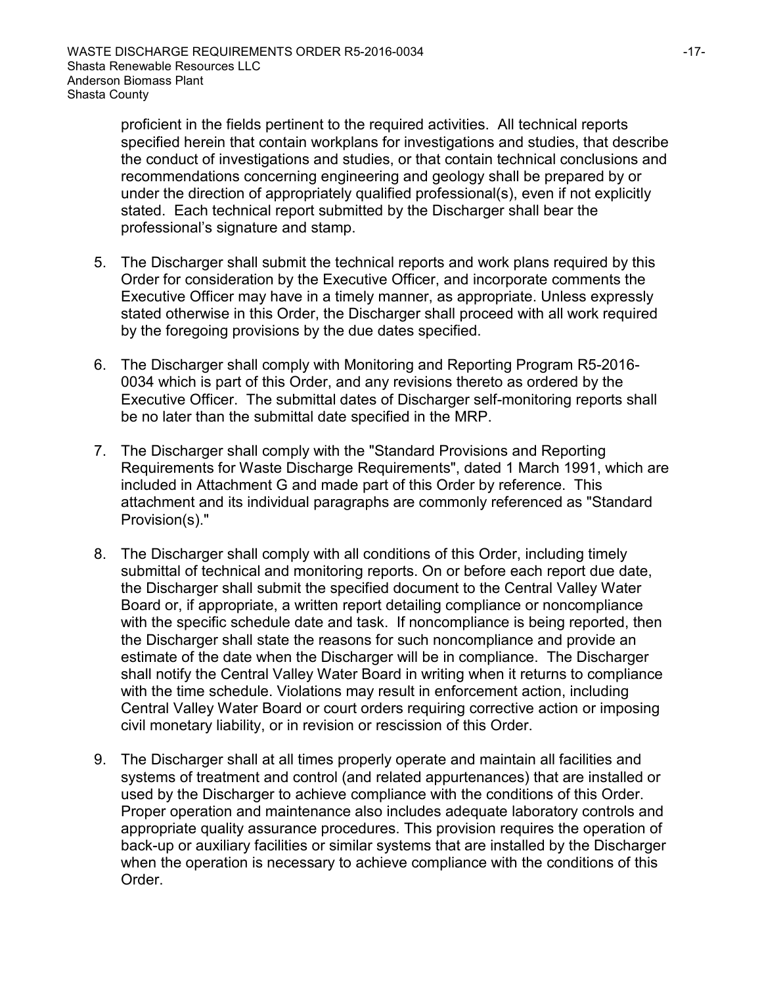proficient in the fields pertinent to the required activities. All technical reports specified herein that contain workplans for investigations and studies, that describe the conduct of investigations and studies, or that contain technical conclusions and recommendations concerning engineering and geology shall be prepared by or under the direction of appropriately qualified professional(s), even if not explicitly stated. Each technical report submitted by the Discharger shall bear the professional's signature and stamp.

- 5. The Discharger shall submit the technical reports and work plans required by this Order for consideration by the Executive Officer, and incorporate comments the Executive Officer may have in a timely manner, as appropriate. Unless expressly stated otherwise in this Order, the Discharger shall proceed with all work required by the foregoing provisions by the due dates specified.
- 6. The Discharger shall comply with Monitoring and Reporting Program R5-2016- 0034 which is part of this Order, and any revisions thereto as ordered by the Executive Officer. The submittal dates of Discharger self-monitoring reports shall be no later than the submittal date specified in the MRP.
- 7. The Discharger shall comply with the "Standard Provisions and Reporting Requirements for Waste Discharge Requirements", dated 1 March 1991, which are included in Attachment G and made part of this Order by reference. This attachment and its individual paragraphs are commonly referenced as "Standard Provision(s)."
- 8. The Discharger shall comply with all conditions of this Order, including timely submittal of technical and monitoring reports. On or before each report due date, the Discharger shall submit the specified document to the Central Valley Water Board or, if appropriate, a written report detailing compliance or noncompliance with the specific schedule date and task. If noncompliance is being reported, then the Discharger shall state the reasons for such noncompliance and provide an estimate of the date when the Discharger will be in compliance. The Discharger shall notify the Central Valley Water Board in writing when it returns to compliance with the time schedule. Violations may result in enforcement action, including Central Valley Water Board or court orders requiring corrective action or imposing civil monetary liability, or in revision or rescission of this Order.
- 9. The Discharger shall at all times properly operate and maintain all facilities and systems of treatment and control (and related appurtenances) that are installed or used by the Discharger to achieve compliance with the conditions of this Order. Proper operation and maintenance also includes adequate laboratory controls and appropriate quality assurance procedures. This provision requires the operation of back-up or auxiliary facilities or similar systems that are installed by the Discharger when the operation is necessary to achieve compliance with the conditions of this Order.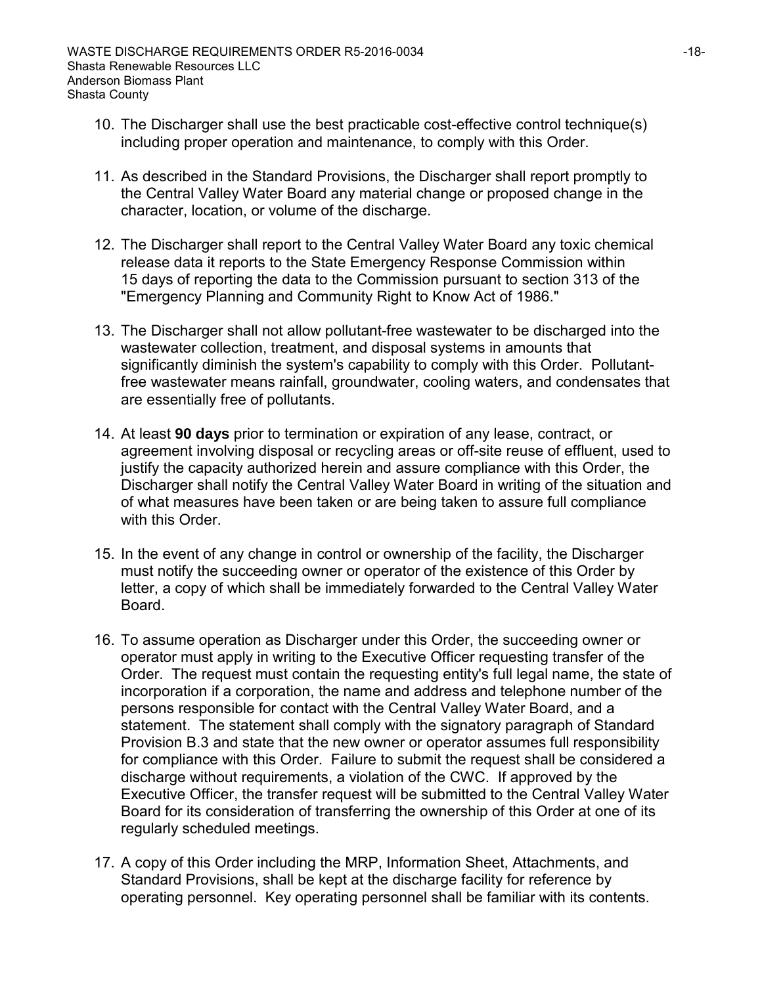- 10. The Discharger shall use the best practicable cost-effective control technique(s) including proper operation and maintenance, to comply with this Order.
- 11. As described in the Standard Provisions, the Discharger shall report promptly to the Central Valley Water Board any material change or proposed change in the character, location, or volume of the discharge.
- 12. The Discharger shall report to the Central Valley Water Board any toxic chemical release data it reports to the State Emergency Response Commission within 15 days of reporting the data to the Commission pursuant to section 313 of the "Emergency Planning and Community Right to Know Act of 1986."
- 13. The Discharger shall not allow pollutant-free wastewater to be discharged into the wastewater collection, treatment, and disposal systems in amounts that significantly diminish the system's capability to comply with this Order. Pollutantfree wastewater means rainfall, groundwater, cooling waters, and condensates that are essentially free of pollutants.
- 14. At least **90 days** prior to termination or expiration of any lease, contract, or agreement involving disposal or recycling areas or off-site reuse of effluent, used to justify the capacity authorized herein and assure compliance with this Order, the Discharger shall notify the Central Valley Water Board in writing of the situation and of what measures have been taken or are being taken to assure full compliance with this Order.
- 15. In the event of any change in control or ownership of the facility, the Discharger must notify the succeeding owner or operator of the existence of this Order by letter, a copy of which shall be immediately forwarded to the Central Valley Water Board.
- 16. To assume operation as Discharger under this Order, the succeeding owner or operator must apply in writing to the Executive Officer requesting transfer of the Order. The request must contain the requesting entity's full legal name, the state of incorporation if a corporation, the name and address and telephone number of the persons responsible for contact with the Central Valley Water Board, and a statement. The statement shall comply with the signatory paragraph of Standard Provision B.3 and state that the new owner or operator assumes full responsibility for compliance with this Order. Failure to submit the request shall be considered a discharge without requirements, a violation of the CWC. If approved by the Executive Officer, the transfer request will be submitted to the Central Valley Water Board for its consideration of transferring the ownership of this Order at one of its regularly scheduled meetings.
- 17. A copy of this Order including the MRP, Information Sheet, Attachments, and Standard Provisions, shall be kept at the discharge facility for reference by operating personnel. Key operating personnel shall be familiar with its contents.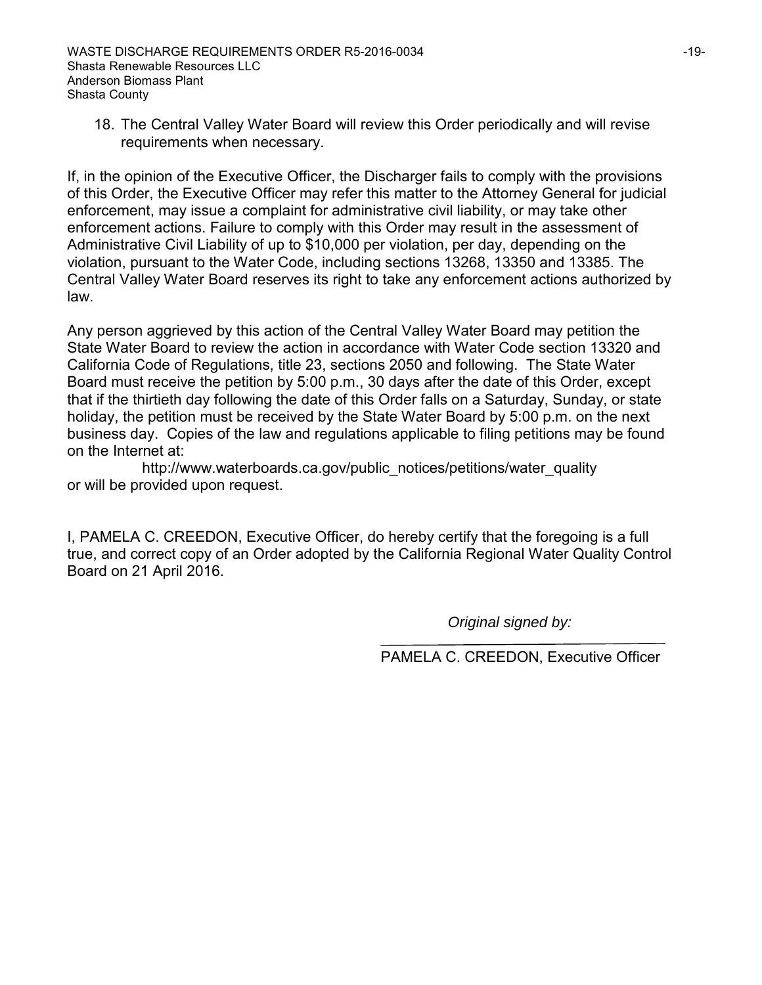18. The Central Valley Water Board will review this Order periodically and will revise requirements when necessary.

If, in the opinion of the Executive Officer, the Discharger fails to comply with the provisions of this Order, the Executive Officer may refer this matter to the Attorney General for judicial enforcement, may issue a complaint for administrative civil liability, or may take other enforcement actions. Failure to comply with this Order may result in the assessment of Administrative Civil Liability of up to \$10,000 per violation, per day, depending on the violation, pursuant to the Water Code, including sections 13268, 13350 and 13385. The Central Valley Water Board reserves its right to take any enforcement actions authorized by law.

Any person aggrieved by this action of the Central Valley Water Board may petition the State Water Board to review the action in accordance with Water Code section 13320 and California Code of Regulations, title 23, sections 2050 and following. The State Water Board must receive the petition by 5:00 p.m., 30 days after the date of this Order, except that if the thirtieth day following the date of this Order falls on a Saturday, Sunday, or state holiday, the petition must be received by the State Water Board by 5:00 p.m. on the next business day. Copies of the law and regulations applicable to filing petitions may be found on the Internet at:

http://www.waterboards.ca.gov/public\_notices/petitions/water\_quality or will be provided upon request.

I, PAMELA C. CREEDON, Executive Officer, do hereby certify that the foregoing is a full true, and correct copy of an Order adopted by the California Regional Water Quality Control Board on 21 April 2016.

*Original signed by:*

PAMELA C. CREEDON, Executive Officer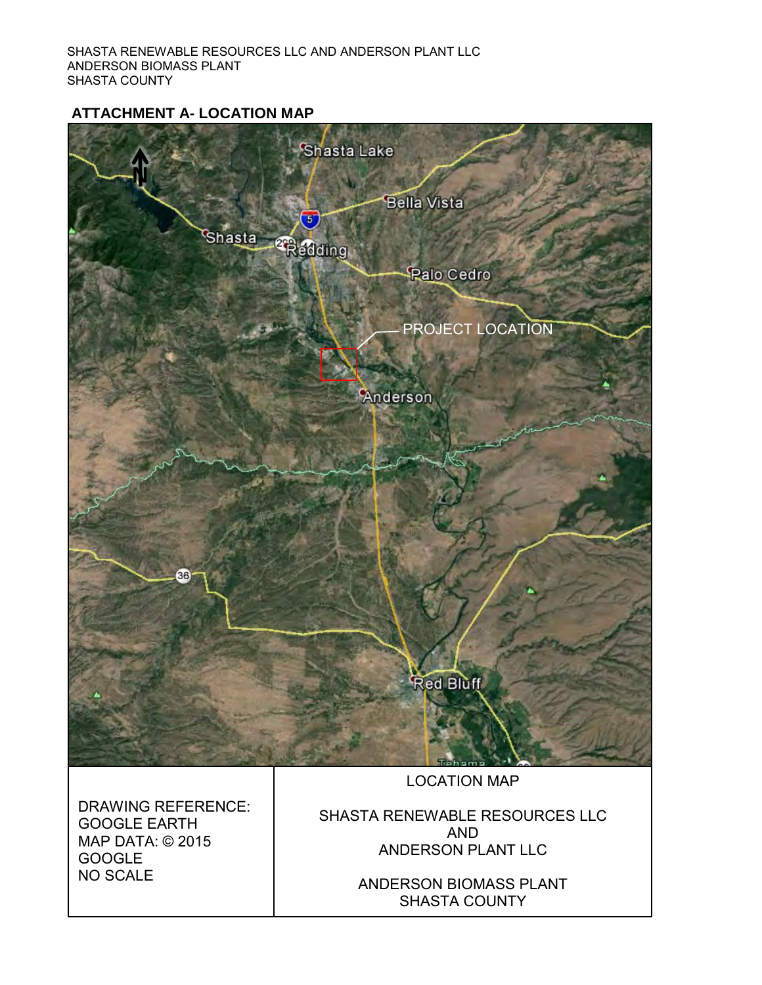## **ATTACHMENT A- LOCATION MAP**

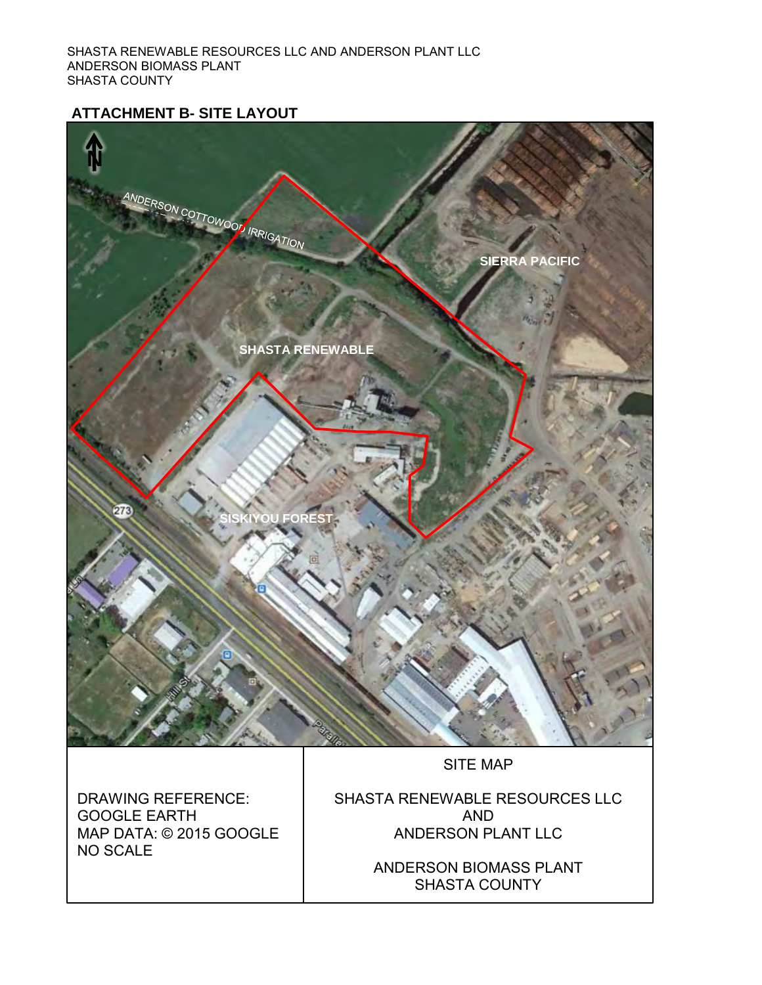## **ATTACHMENT B- SITE LAYOUT**



ANDERSON BIOMASS PLANT SHASTA COUNTY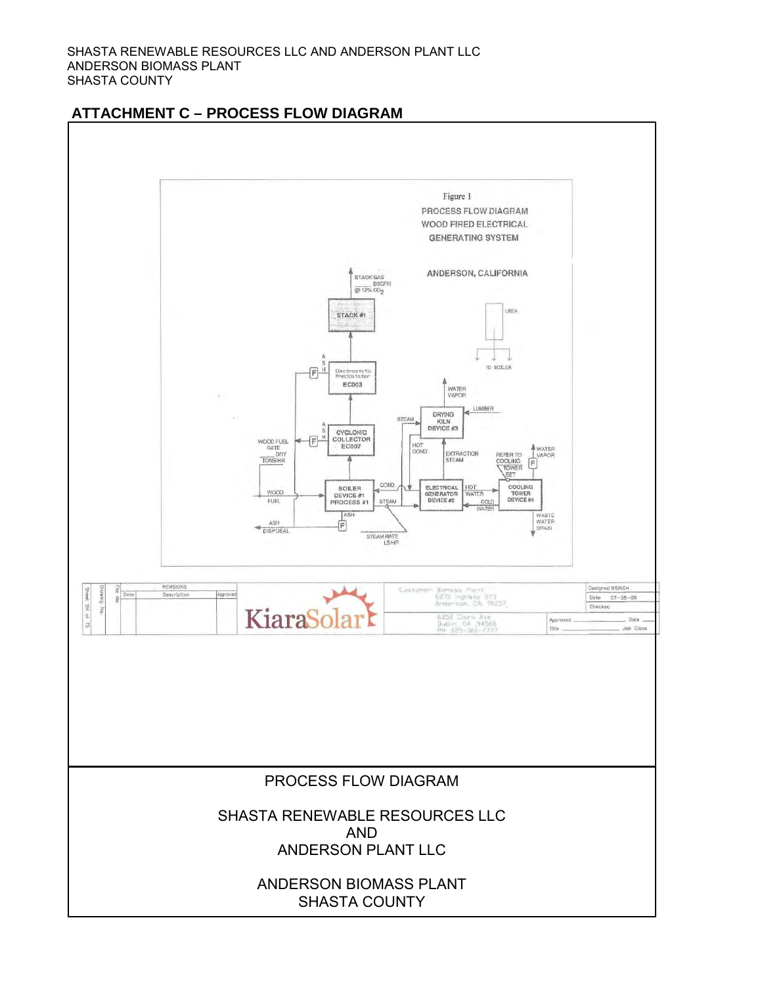

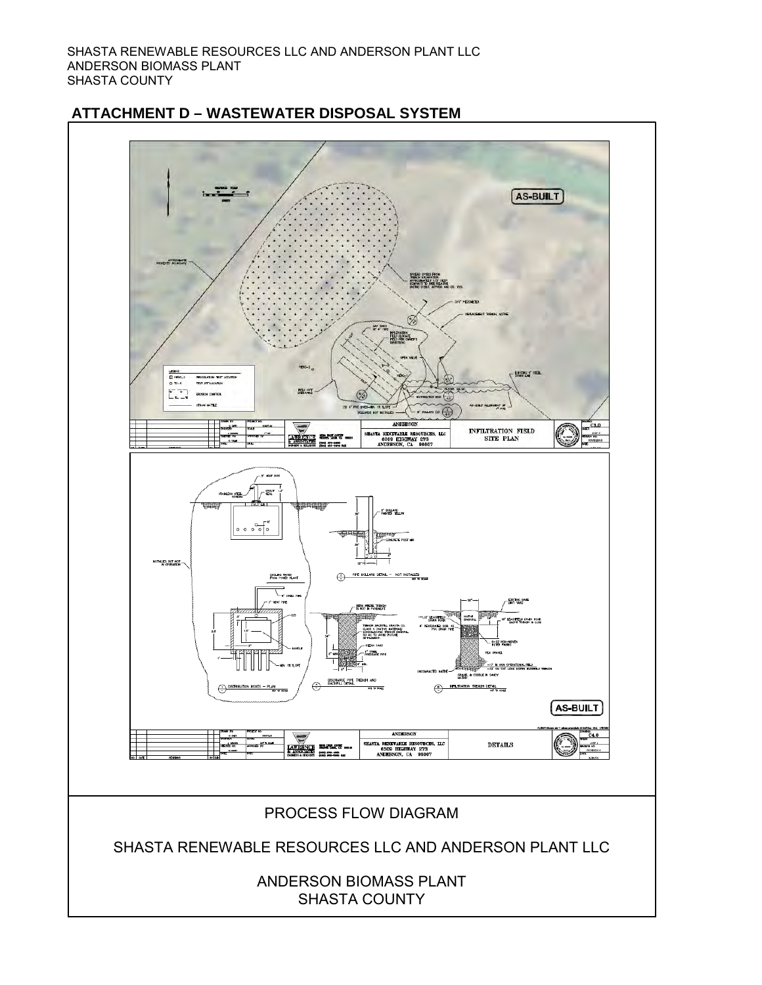

## **ATTACHMENT D – WASTEWATER DISPOSAL SYSTEM**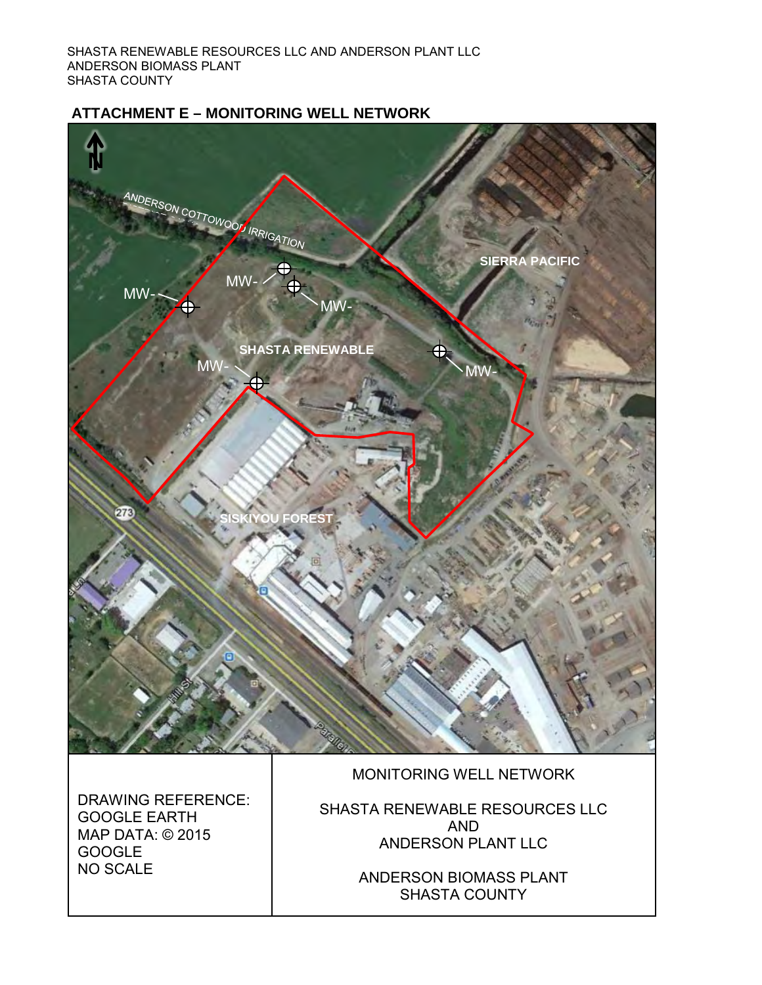## **ATTACHMENT E – MONITORING WELL NETWORK**

DRAWING REFERENCE:

GOOGLE EARTH MAP DATA: © 2015

GOOGLE NO SCALE



SHASTA RENEWABLE RESOURCES LLC AND ANDERSON PLANT LLC

> ANDERSON BIOMASS PLANT SHASTA COUNTY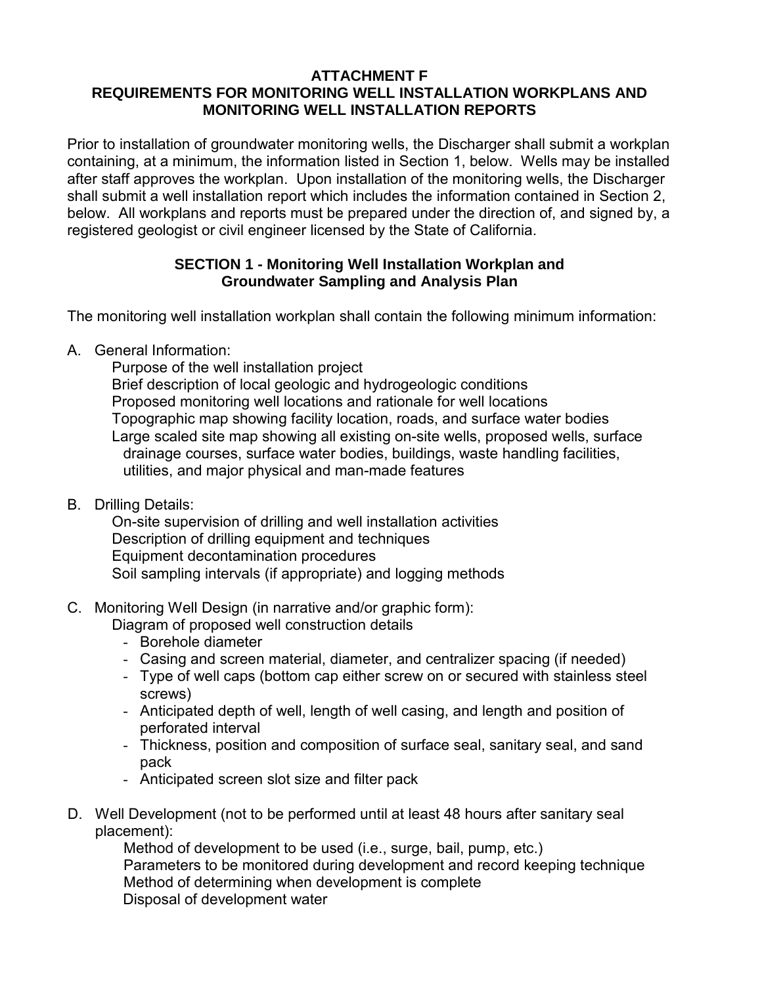## **ATTACHMENT F REQUIREMENTS FOR MONITORING WELL INSTALLATION WORKPLANS AND MONITORING WELL INSTALLATION REPORTS**

Prior to installation of groundwater monitoring wells, the Discharger shall submit a workplan containing, at a minimum, the information listed in Section 1, below. Wells may be installed after staff approves the workplan. Upon installation of the monitoring wells, the Discharger shall submit a well installation report which includes the information contained in Section 2, below. All workplans and reports must be prepared under the direction of, and signed by, a registered geologist or civil engineer licensed by the State of California.

## **SECTION 1 - Monitoring Well Installation Workplan and Groundwater Sampling and Analysis Plan**

The monitoring well installation workplan shall contain the following minimum information:

A. General Information:

Purpose of the well installation project Brief description of local geologic and hydrogeologic conditions Proposed monitoring well locations and rationale for well locations Topographic map showing facility location, roads, and surface water bodies Large scaled site map showing all existing on-site wells, proposed wells, surface drainage courses, surface water bodies, buildings, waste handling facilities, utilities, and major physical and man-made features

B. Drilling Details:

On-site supervision of drilling and well installation activities Description of drilling equipment and techniques Equipment decontamination procedures Soil sampling intervals (if appropriate) and logging methods

C. Monitoring Well Design (in narrative and/or graphic form):

Diagram of proposed well construction details

- Borehole diameter
- Casing and screen material, diameter, and centralizer spacing (if needed)
- Type of well caps (bottom cap either screw on or secured with stainless steel screws)
- Anticipated depth of well, length of well casing, and length and position of perforated interval
- Thickness, position and composition of surface seal, sanitary seal, and sand pack
- Anticipated screen slot size and filter pack
- D. Well Development (not to be performed until at least 48 hours after sanitary seal placement):

Method of development to be used (i.e., surge, bail, pump, etc.) Parameters to be monitored during development and record keeping technique Method of determining when development is complete Disposal of development water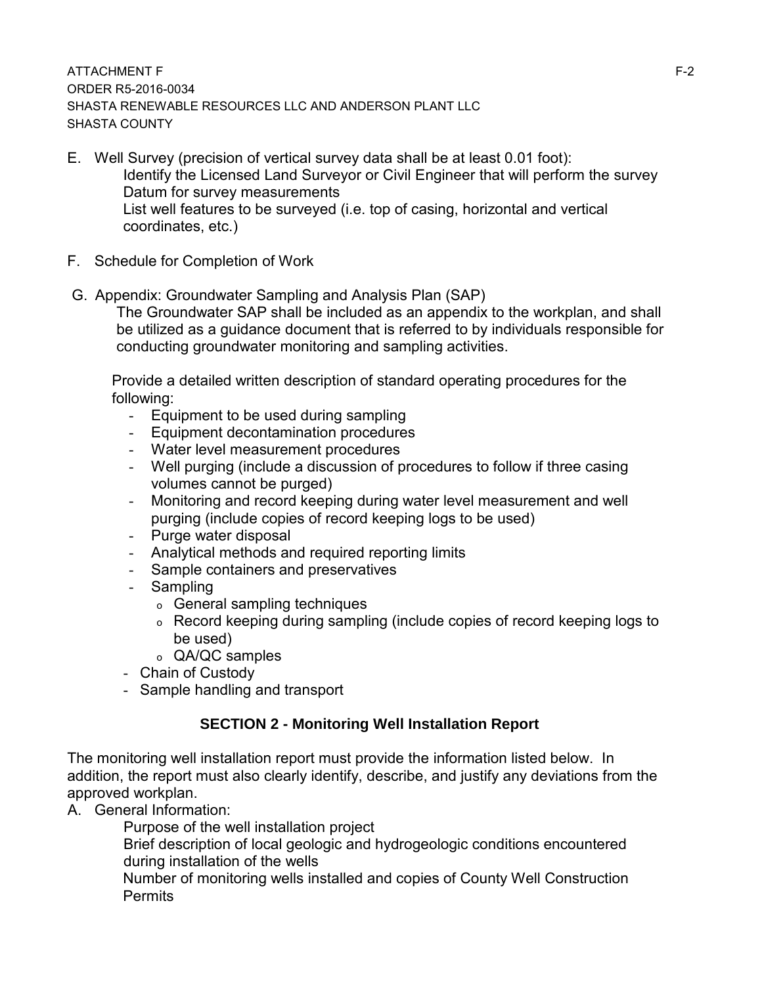### ATTACHMENT F F-2 ORDER R5-2016-0034 SHASTA RENEWABLE RESOURCES LLC AND ANDERSON PLANT LLC SHASTA COUNTY

- E. Well Survey (precision of vertical survey data shall be at least 0.01 foot): Identify the Licensed Land Surveyor or Civil Engineer that will perform the survey Datum for survey measurements List well features to be surveyed (i.e. top of casing, horizontal and vertical coordinates, etc.)
- F. Schedule for Completion of Work
- G. Appendix: Groundwater Sampling and Analysis Plan (SAP)

The Groundwater SAP shall be included as an appendix to the workplan, and shall be utilized as a guidance document that is referred to by individuals responsible for conducting groundwater monitoring and sampling activities.

Provide a detailed written description of standard operating procedures for the following:

- Equipment to be used during sampling
- Equipment decontamination procedures
- Water level measurement procedures
- Well purging (include a discussion of procedures to follow if three casing volumes cannot be purged)
- Monitoring and record keeping during water level measurement and well purging (include copies of record keeping logs to be used)
- Purge water disposal
- Analytical methods and required reporting limits
- Sample containers and preservatives
- Sampling
	- o General sampling techniques
	- o Record keeping during sampling (include copies of record keeping logs to be used)
	- o QA/QC samples
- Chain of Custody
- Sample handling and transport

## **SECTION 2 - Monitoring Well Installation Report**

The monitoring well installation report must provide the information listed below. In addition, the report must also clearly identify, describe, and justify any deviations from the approved workplan.

A. General Information:

Purpose of the well installation project

Brief description of local geologic and hydrogeologic conditions encountered during installation of the wells

Number of monitoring wells installed and copies of County Well Construction Permits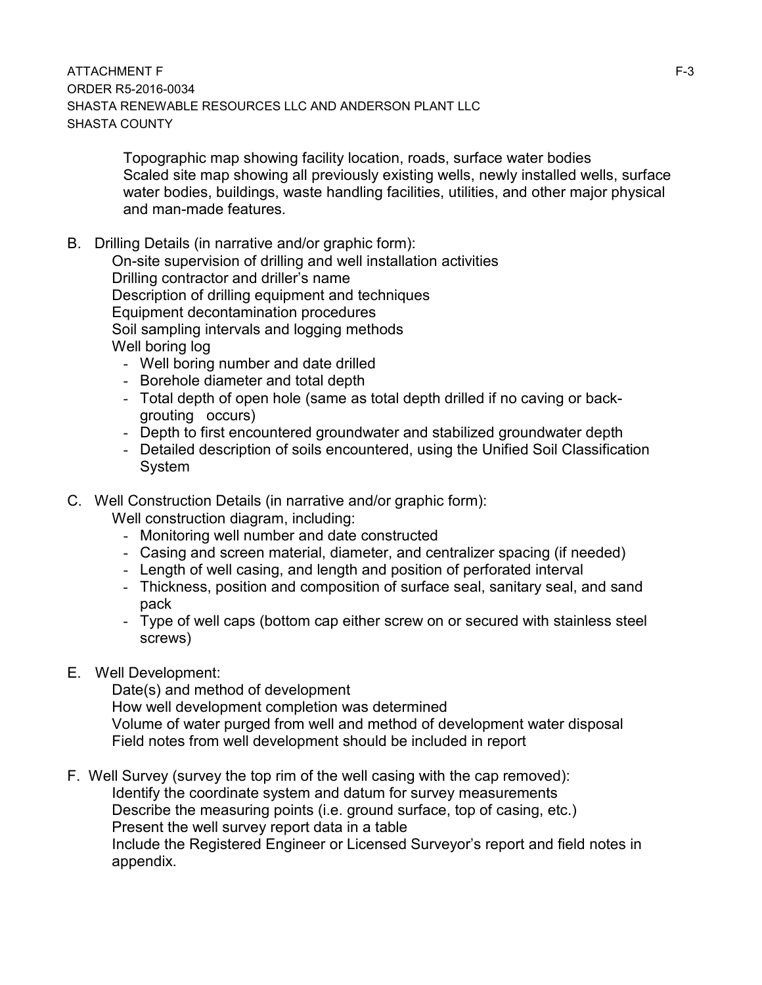Topographic map showing facility location, roads, surface water bodies Scaled site map showing all previously existing wells, newly installed wells, surface water bodies, buildings, waste handling facilities, utilities, and other major physical and man-made features.

B. Drilling Details (in narrative and/or graphic form):

 On-site supervision of drilling and well installation activities Drilling contractor and driller's name Description of drilling equipment and techniques Equipment decontamination procedures Soil sampling intervals and logging methods Well boring log

- Well boring number and date drilled
- Borehole diameter and total depth
- Total depth of open hole (same as total depth drilled if no caving or backgrouting occurs)
- Depth to first encountered groundwater and stabilized groundwater depth
- Detailed description of soils encountered, using the Unified Soil Classification System
- C. Well Construction Details (in narrative and/or graphic form):

Well construction diagram, including:

- Monitoring well number and date constructed
- Casing and screen material, diameter, and centralizer spacing (if needed)
- Length of well casing, and length and position of perforated interval
- Thickness, position and composition of surface seal, sanitary seal, and sand pack
- Type of well caps (bottom cap either screw on or secured with stainless steel screws)
- E. Well Development:

Date(s) and method of development

 How well development completion was determined Volume of water purged from well and method of development water disposal Field notes from well development should be included in report

F. Well Survey (survey the top rim of the well casing with the cap removed): Identify the coordinate system and datum for survey measurements Describe the measuring points (i.e. ground surface, top of casing, etc.) Present the well survey report data in a table Include the Registered Engineer or Licensed Surveyor's report and field notes in appendix.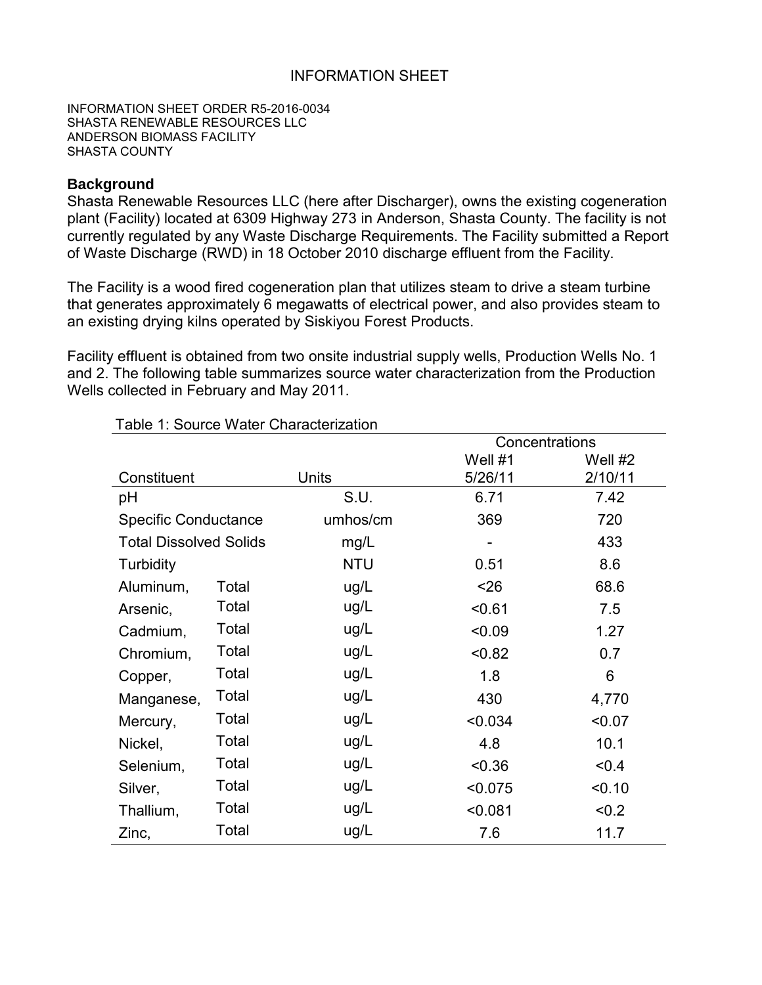### INFORMATION SHEET

INFORMATION SHEET ORDER R5-2016-0034 SHASTA RENEWABLE RESOURCES LLC ANDERSON BIOMASS FACILITY SHASTA COUNTY

## **Background**

Shasta Renewable Resources LLC (here after Discharger), owns the existing cogeneration plant (Facility) located at 6309 Highway 273 in Anderson, Shasta County. The facility is not currently regulated by any Waste Discharge Requirements. The Facility submitted a Report of Waste Discharge (RWD) in 18 October 2010 discharge effluent from the Facility.

The Facility is a wood fired cogeneration plan that utilizes steam to drive a steam turbine that generates approximately 6 megawatts of electrical power, and also provides steam to an existing drying kilns operated by Siskiyou Forest Products.

Facility effluent is obtained from two onsite industrial supply wells, Production Wells No. 1 and 2. The following table summarizes source water characterization from the Production Wells collected in February and May 2011.

|                               |       |              | Concentrations |         |  |
|-------------------------------|-------|--------------|----------------|---------|--|
|                               |       |              | Well #1        | Well #2 |  |
| Constituent                   |       | <b>Units</b> | 5/26/11        | 2/10/11 |  |
| pH                            |       | S.U.         | 6.71           | 7.42    |  |
| <b>Specific Conductance</b>   |       | umhos/cm     | 369            | 720     |  |
| <b>Total Dissolved Solids</b> |       | mg/L         |                | 433     |  |
| Turbidity                     |       | <b>NTU</b>   | 0.51           | 8.6     |  |
| Aluminum,                     | Total | ug/L         | $26$           | 68.6    |  |
| Arsenic,                      | Total | ug/L         | < 0.61         | 7.5     |  |
| Cadmium,                      | Total | ug/L         | < 0.09         | 1.27    |  |
| Chromium,                     | Total | ug/L         | < 0.82         | 0.7     |  |
| Copper,                       | Total | ug/L         | 1.8            | 6       |  |
| Manganese,                    | Total | ug/L         | 430            | 4,770   |  |
| Mercury,                      | Total | ug/L         | < 0.034        | < 0.07  |  |
| Nickel,                       | Total | ug/L         | 4.8            | 10.1    |  |
| Selenium,                     | Total | ug/L         | < 0.36         | < 0.4   |  |
| Silver,                       | Total | ug/L         | < 0.075        | < 0.10  |  |
| Thallium,                     | Total | ug/L         | < 0.081        | < 0.2   |  |
| Zinc,                         | Total | ug/L         | 7.6            | 11.7    |  |

Table 1: Source Water Characterization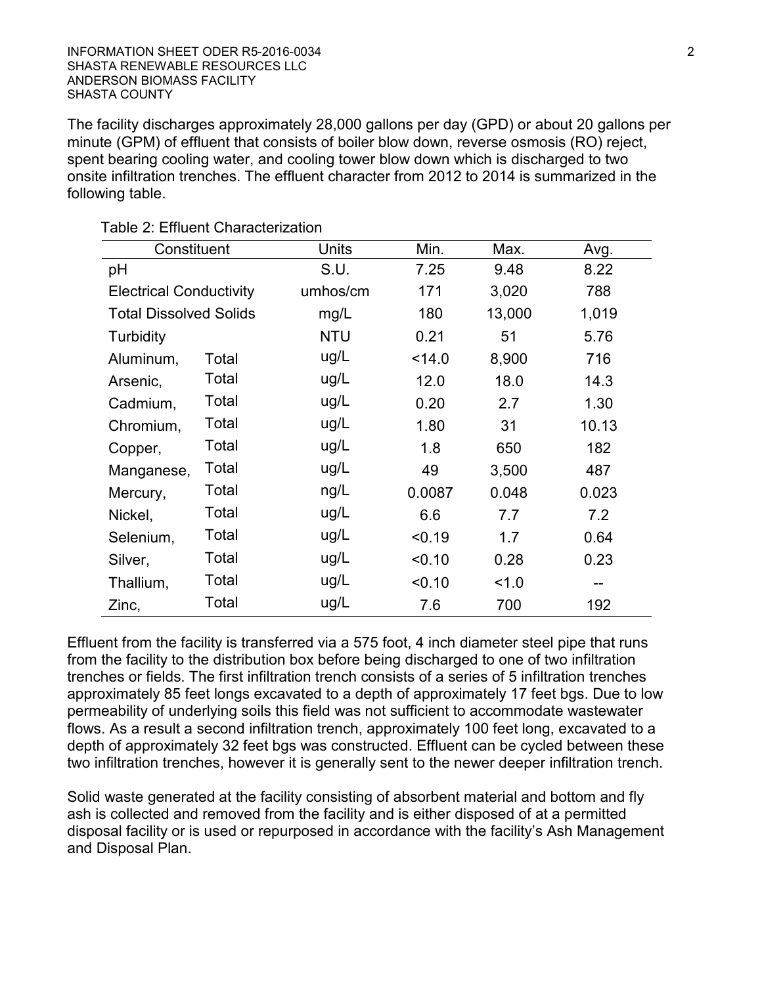The facility discharges approximately 28,000 gallons per day (GPD) or about 20 gallons per minute (GPM) of effluent that consists of boiler blow down, reverse osmosis (RO) reject, spent bearing cooling water, and cooling tower blow down which is discharged to two onsite infiltration trenches. The effluent character from 2012 to 2014 is summarized in the following table.

| Constituent                    |       | <b>Units</b> | Min.   | Max.   | Avg.  |
|--------------------------------|-------|--------------|--------|--------|-------|
| pH                             |       | S.U.         | 7.25   | 9.48   | 8.22  |
| <b>Electrical Conductivity</b> |       | umhos/cm     | 171    | 3,020  | 788   |
| <b>Total Dissolved Solids</b>  |       | mg/L         | 180    | 13,000 | 1,019 |
| <b>Turbidity</b>               |       | <b>NTU</b>   | 0.21   | 51     | 5.76  |
| Aluminum,                      | Total | ug/L         | < 14.0 | 8,900  | 716   |
| Arsenic,                       | Total | ug/L         | 12.0   | 18.0   | 14.3  |
| Cadmium,                       | Total | ug/L         | 0.20   | 2.7    | 1.30  |
| Chromium,                      | Total | ug/L         | 1.80   | 31     | 10.13 |
| Copper,                        | Total | ug/L         | 1.8    | 650    | 182   |
| Manganese,                     | Total | ug/L         | 49     | 3,500  | 487   |
| Mercury,                       | Total | ng/L         | 0.0087 | 0.048  | 0.023 |
| Nickel,                        | Total | ug/L         | 6.6    | 7.7    | 7.2   |
| Selenium,                      | Total | ug/L         | < 0.19 | 1.7    | 0.64  |
| Silver,                        | Total | ug/L         | < 0.10 | 0.28   | 0.23  |
| Thallium,                      | Total | ug/L         | < 0.10 | 1.0    | $- -$ |
| Zinc,                          | Total | ug/L         | 7.6    | 700    | 192   |

Table 2: Effluent Characterization

Effluent from the facility is transferred via a 575 foot, 4 inch diameter steel pipe that runs from the facility to the distribution box before being discharged to one of two infiltration trenches or fields. The first infiltration trench consists of a series of 5 infiltration trenches approximately 85 feet longs excavated to a depth of approximately 17 feet bgs. Due to low permeability of underlying soils this field was not sufficient to accommodate wastewater flows. As a result a second infiltration trench, approximately 100 feet long, excavated to a depth of approximately 32 feet bgs was constructed. Effluent can be cycled between these two infiltration trenches, however it is generally sent to the newer deeper infiltration trench.

Solid waste generated at the facility consisting of absorbent material and bottom and fly ash is collected and removed from the facility and is either disposed of at a permitted disposal facility or is used or repurposed in accordance with the facility's Ash Management and Disposal Plan.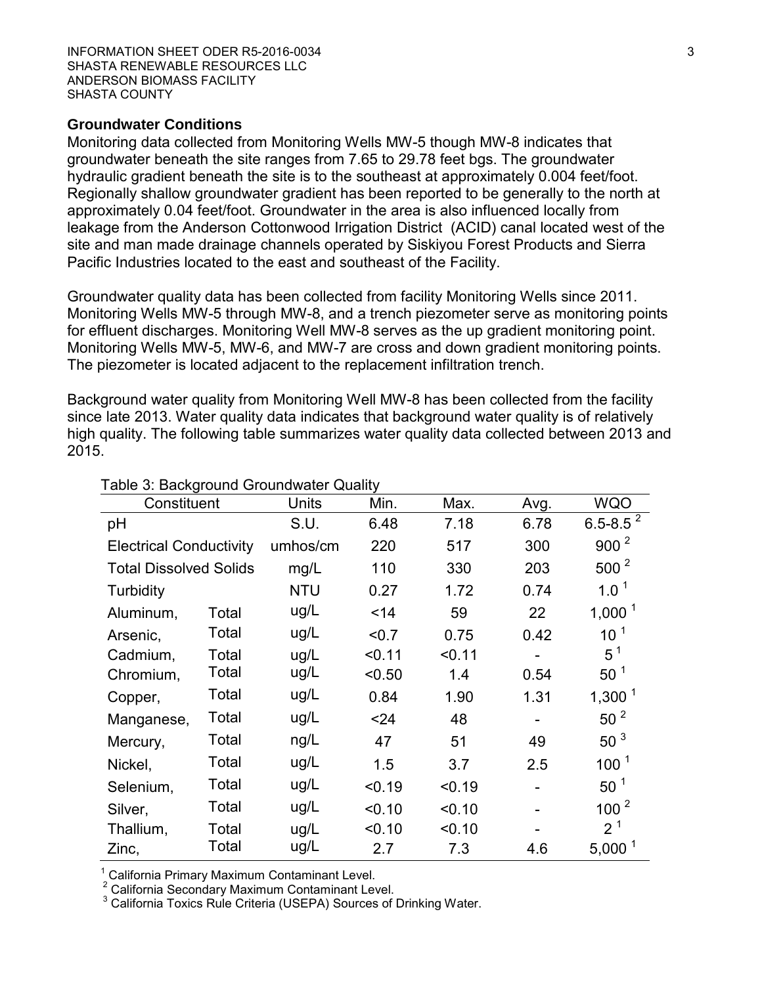#### **Groundwater Conditions**

Monitoring data collected from Monitoring Wells MW-5 though MW-8 indicates that groundwater beneath the site ranges from 7.65 to 29.78 feet bgs. The groundwater hydraulic gradient beneath the site is to the southeast at approximately 0.004 feet/foot. Regionally shallow groundwater gradient has been reported to be generally to the north at approximately 0.04 feet/foot. Groundwater in the area is also influenced locally from leakage from the Anderson Cottonwood Irrigation District (ACID) canal located west of the site and man made drainage channels operated by Siskiyou Forest Products and Sierra Pacific Industries located to the east and southeast of the Facility.

Groundwater quality data has been collected from facility Monitoring Wells since 2011. Monitoring Wells MW-5 through MW-8, and a trench piezometer serve as monitoring points for effluent discharges. Monitoring Well MW-8 serves as the up gradient monitoring point. Monitoring Wells MW-5, MW-6, and MW-7 are cross and down gradient monitoring points. The piezometer is located adjacent to the replacement infiltration trench.

Background water quality from Monitoring Well MW-8 has been collected from the facility since late 2013. Water quality data indicates that background water quality is of relatively high quality. The following table summarizes water quality data collected between 2013 and 2015.

| Constituent                    |       | Units      | Min.   | Max.   | Avg. | <b>WQO</b>         |
|--------------------------------|-------|------------|--------|--------|------|--------------------|
| pH                             |       | S.U.       | 6.48   | 7.18   | 6.78 | 6.5-8.5 $^{2}$     |
| <b>Electrical Conductivity</b> |       | umhos/cm   | 220    | 517    | 300  | 900 <sup>2</sup>   |
| <b>Total Dissolved Solids</b>  |       | mg/L       | 110    | 330    | 203  | $500^2$            |
| Turbidity                      |       | <b>NTU</b> | 0.27   | 1.72   | 0.74 | 1.0 <sup>1</sup>   |
| Aluminum,                      | Total | ug/L       | $14$   | 59     | 22   | 1,000 $1$          |
| Arsenic,                       | Total | ug/L       | < 0.7  | 0.75   | 0.42 | 10 <sup>1</sup>    |
| Cadmium,                       | Total | ug/L       | < 0.11 | < 0.11 |      | $5^1$              |
| Chromium,                      | Total | ug/L       | < 0.50 | 1.4    | 0.54 | 50 <sup>1</sup>    |
| Copper,                        | Total | ug/L       | 0.84   | 1.90   | 1.31 | 1,300 <sup>1</sup> |
| Manganese,                     | Total | ug/L       | < 24   | 48     | ۰    | 50 <sup>2</sup>    |
| Mercury,                       | Total | ng/L       | 47     | 51     | 49   | 50 <sup>3</sup>    |
| Nickel,                        | Total | ug/L       | 1.5    | 3.7    | 2.5  | 100 <sup>1</sup>   |
| Selenium,                      | Total | ug/L       | < 0.19 | < 0.19 |      | 50 <sup>1</sup>    |
| Silver,                        | Total | ug/L       | < 0.10 | < 0.10 |      | 100 <sup>2</sup>   |
| Thallium,                      | Total | ug/L       | < 0.10 | < 0.10 |      | 2 <sup>1</sup>     |
| Zinc,                          | Total | ug/L       | 2.7    | 7.3    | 4.6  | $5,000^1$          |

#### Table 3: Background Groundwater Quality

<sup>1</sup> California Primary Maximum Contaminant Level.

<sup>2</sup> California Secondary Maximum Contaminant Level.

<sup>3</sup> California Toxics Rule Criteria (USEPA) Sources of Drinking Water.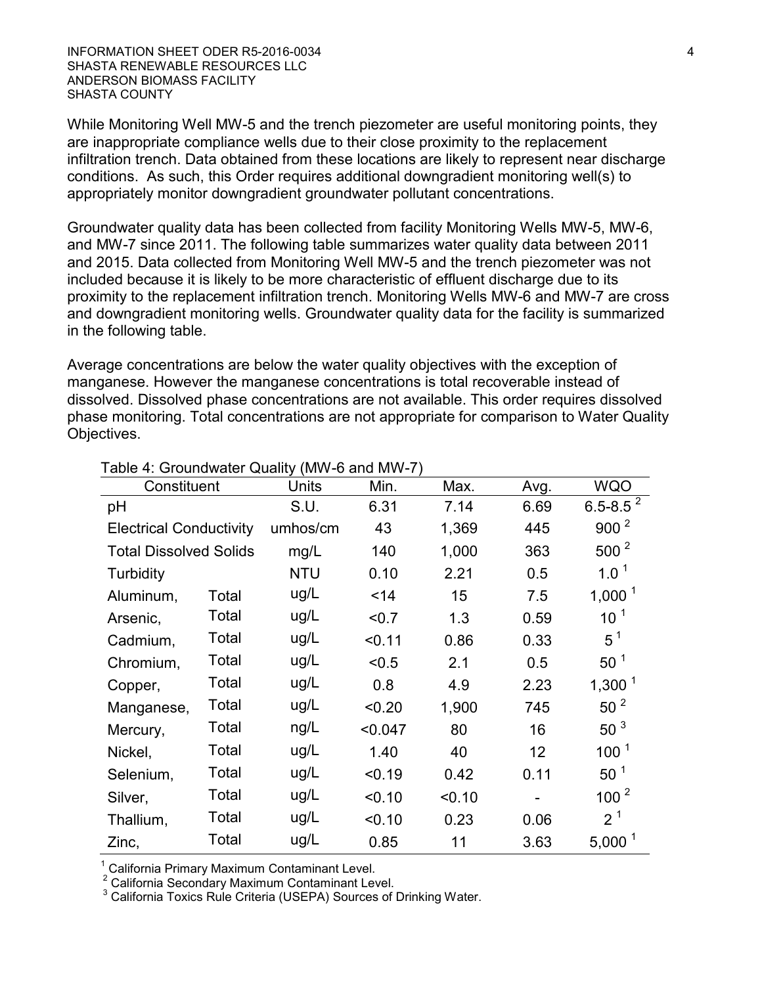INFORMATION SHEET ODER R5-2016-0034 4 SHASTA RENEWABLE RESOURCES LLC ANDERSON BIOMASS FACILITY SHASTA COUNTY

While Monitoring Well MW-5 and the trench piezometer are useful monitoring points, they are inappropriate compliance wells due to their close proximity to the replacement infiltration trench. Data obtained from these locations are likely to represent near discharge conditions. As such, this Order requires additional downgradient monitoring well(s) to appropriately monitor downgradient groundwater pollutant concentrations.

Groundwater quality data has been collected from facility Monitoring Wells MW-5, MW-6, and MW-7 since 2011. The following table summarizes water quality data between 2011 and 2015. Data collected from Monitoring Well MW-5 and the trench piezometer was not included because it is likely to be more characteristic of effluent discharge due to its proximity to the replacement infiltration trench. Monitoring Wells MW-6 and MW-7 are cross and downgradient monitoring wells. Groundwater quality data for the facility is summarized in the following table.

Average concentrations are below the water quality objectives with the exception of manganese. However the manganese concentrations is total recoverable instead of dissolved. Dissolved phase concentrations are not available. This order requires dissolved phase monitoring. Total concentrations are not appropriate for comparison to Water Quality Objectives.

| <b>I AVIC 4. OI OUTIGWALET QUAILLY (IVIVY-O ATTU IVIVY-I )</b> |       |            |         |        |      |                  |
|----------------------------------------------------------------|-------|------------|---------|--------|------|------------------|
| Constituent                                                    |       | Units      | Min.    | Max.   | Avg. | <b>WQO</b>       |
| pH                                                             |       | S.U.       | 6.31    | 7.14   | 6.69 | $6.5 - 8.5^2$    |
| <b>Electrical Conductivity</b>                                 |       | umhos/cm   | 43      | 1,369  | 445  | 900 <sup>2</sup> |
| <b>Total Dissolved Solids</b>                                  |       | mg/L       | 140     | 1,000  | 363  | $500^2$          |
| Turbidity                                                      |       | <b>NTU</b> | 0.10    | 2.21   | 0.5  | $1.0^1$          |
| Aluminum,                                                      | Total | ug/L       | $14$    | 15     | 7.5  | $1,000^1$        |
| Arsenic,                                                       | Total | ug/L       | < 0.7   | 1.3    | 0.59 | 10 <sup>1</sup>  |
| Cadmium,                                                       | Total | ug/L       | < 0.11  | 0.86   | 0.33 | $5^1$            |
| Chromium,                                                      | Total | ug/L       | < 0.5   | 2.1    | 0.5  | $50^1$           |
| Copper,                                                        | Total | ug/L       | 0.8     | 4.9    | 2.23 | $1,300^1$        |
| Manganese,                                                     | Total | ug/L       | < 0.20  | 1,900  | 745  | 50 <sup>2</sup>  |
| Mercury,                                                       | Total | ng/L       | < 0.047 | 80     | 16   | 50 <sup>3</sup>  |
| Nickel,                                                        | Total | ug/L       | 1.40    | 40     | 12   | 100 <sup>1</sup> |
| Selenium,                                                      | Total | ug/L       | < 0.19  | 0.42   | 0.11 | 50 <sup>1</sup>  |
| Silver,                                                        | Total | ug/L       | < 0.10  | < 0.10 |      | 100 <sup>2</sup> |
| Thallium,                                                      | Total | ug/L       | < 0.10  | 0.23   | 0.06 | 2 <sup>1</sup>   |
| Zinc,                                                          | Total | ug/L       | 0.85    | 11     | 3.63 | $5,000^1$        |

#### Table 4: Groundwater Quality (MW-6 and MW-7)

California Primary Maximum Contaminant Level.

<sup>2</sup> California Secondary Maximum Contaminant Level.

<sup>3</sup> California Toxics Rule Criteria (USEPA) Sources of Drinking Water.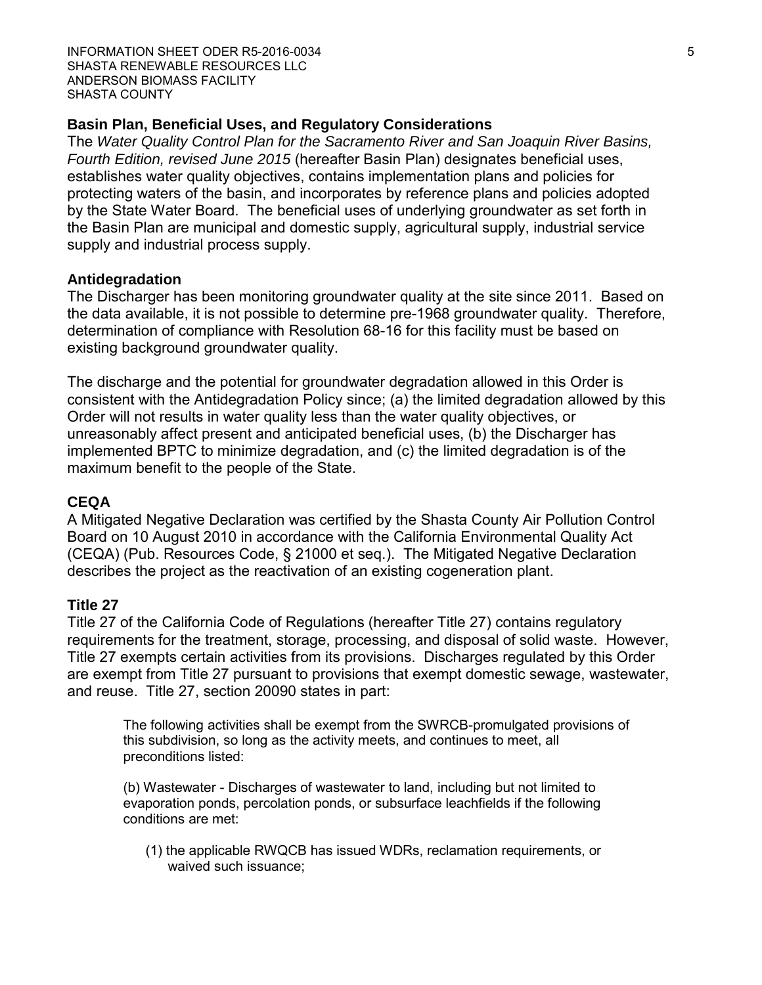### **Basin Plan, Beneficial Uses, and Regulatory Considerations**

The *Water Quality Control Plan for the Sacramento River and San Joaquin River Basins, Fourth Edition, revised June 2015* (hereafter Basin Plan) designates beneficial uses, establishes water quality objectives, contains implementation plans and policies for protecting waters of the basin, and incorporates by reference plans and policies adopted by the State Water Board. The beneficial uses of underlying groundwater as set forth in the Basin Plan are municipal and domestic supply, agricultural supply, industrial service supply and industrial process supply.

### **Antidegradation**

The Discharger has been monitoring groundwater quality at the site since 2011. Based on the data available, it is not possible to determine pre-1968 groundwater quality. Therefore, determination of compliance with Resolution 68-16 for this facility must be based on existing background groundwater quality.

The discharge and the potential for groundwater degradation allowed in this Order is consistent with the Antidegradation Policy since; (a) the limited degradation allowed by this Order will not results in water quality less than the water quality objectives, or unreasonably affect present and anticipated beneficial uses, (b) the Discharger has implemented BPTC to minimize degradation, and (c) the limited degradation is of the maximum benefit to the people of the State.

### **CEQA**

A Mitigated Negative Declaration was certified by the Shasta County Air Pollution Control Board on 10 August 2010 in accordance with the California Environmental Quality Act (CEQA) (Pub. Resources Code, § 21000 et seq.). The Mitigated Negative Declaration describes the project as the reactivation of an existing cogeneration plant.

### **Title 27**

Title 27 of the California Code of Regulations (hereafter Title 27) contains regulatory requirements for the treatment, storage, processing, and disposal of solid waste. However, Title 27 exempts certain activities from its provisions. Discharges regulated by this Order are exempt from Title 27 pursuant to provisions that exempt domestic sewage, wastewater, and reuse. Title 27, section 20090 states in part:

The following activities shall be exempt from the SWRCB-promulgated provisions of this subdivision, so long as the activity meets, and continues to meet, all preconditions listed:

(b) Wastewater - Discharges of wastewater to land, including but not limited to evaporation ponds, percolation ponds, or subsurface leachfields if the following conditions are met:

(1) the applicable RWQCB has issued WDRs, reclamation requirements, or waived such issuance;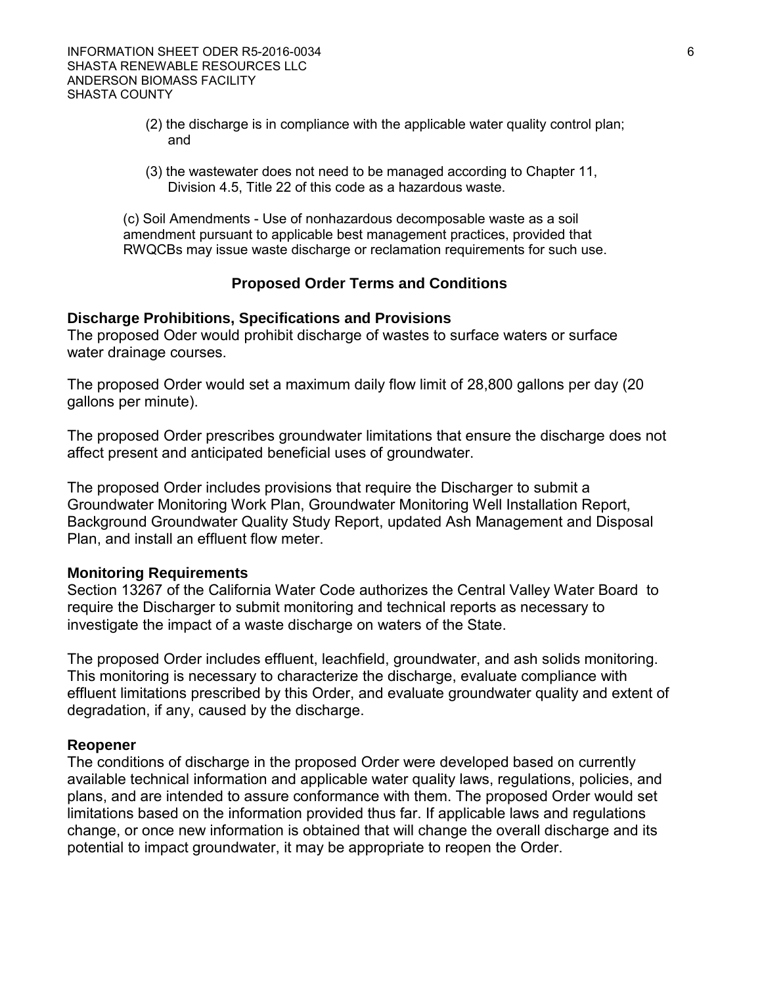- (2) the discharge is in compliance with the applicable water quality control plan; and
- (3) the wastewater does not need to be managed according to Chapter 11, Division 4.5, Title 22 of this code as a hazardous waste.

(c) Soil Amendments - Use of nonhazardous decomposable waste as a soil amendment pursuant to applicable best management practices, provided that RWQCBs may issue waste discharge or reclamation requirements for such use.

### **Proposed Order Terms and Conditions**

#### **Discharge Prohibitions, Specifications and Provisions**

The proposed Oder would prohibit discharge of wastes to surface waters or surface water drainage courses.

The proposed Order would set a maximum daily flow limit of 28,800 gallons per day (20 gallons per minute).

The proposed Order prescribes groundwater limitations that ensure the discharge does not affect present and anticipated beneficial uses of groundwater.

The proposed Order includes provisions that require the Discharger to submit a Groundwater Monitoring Work Plan, Groundwater Monitoring Well Installation Report, Background Groundwater Quality Study Report, updated Ash Management and Disposal Plan, and install an effluent flow meter.

#### **Monitoring Requirements**

Section 13267 of the California Water Code authorizes the Central Valley Water Board to require the Discharger to submit monitoring and technical reports as necessary to investigate the impact of a waste discharge on waters of the State.

The proposed Order includes effluent, leachfield, groundwater, and ash solids monitoring. This monitoring is necessary to characterize the discharge, evaluate compliance with effluent limitations prescribed by this Order, and evaluate groundwater quality and extent of degradation, if any, caused by the discharge.

#### **Reopener**

The conditions of discharge in the proposed Order were developed based on currently available technical information and applicable water quality laws, regulations, policies, and plans, and are intended to assure conformance with them. The proposed Order would set limitations based on the information provided thus far. If applicable laws and regulations change, or once new information is obtained that will change the overall discharge and its potential to impact groundwater, it may be appropriate to reopen the Order.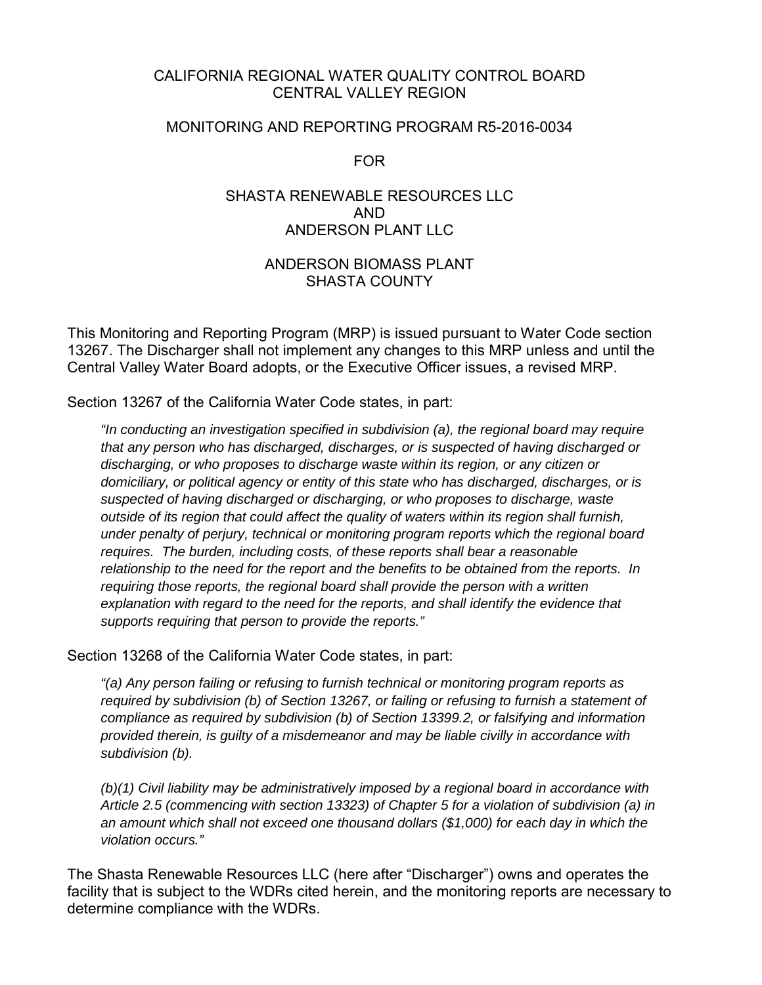### CALIFORNIA REGIONAL WATER QUALITY CONTROL BOARD CENTRAL VALLEY REGION

### MONITORING AND REPORTING PROGRAM R5-2016-0034

FOR

## SHASTA RENEWABLE RESOURCES LLC AND ANDERSON PLANT LLC

## ANDERSON BIOMASS PLANT SHASTA COUNTY

This Monitoring and Reporting Program (MRP) is issued pursuant to Water Code section 13267. The Discharger shall not implement any changes to this MRP unless and until the Central Valley Water Board adopts, or the Executive Officer issues, a revised MRP.

Section 13267 of the California Water Code states, in part:

*"In conducting an investigation specified in subdivision (a), the regional board may require that any person who has discharged, discharges, or is suspected of having discharged or discharging, or who proposes to discharge waste within its region, or any citizen or domiciliary, or political agency or entity of this state who has discharged, discharges, or is suspected of having discharged or discharging, or who proposes to discharge, waste outside of its region that could affect the quality of waters within its region shall furnish, under penalty of perjury, technical or monitoring program reports which the regional board requires. The burden, including costs, of these reports shall bear a reasonable relationship to the need for the report and the benefits to be obtained from the reports. In requiring those reports, the regional board shall provide the person with a written explanation with regard to the need for the reports, and shall identify the evidence that supports requiring that person to provide the reports."*

Section 13268 of the California Water Code states, in part:

*"(a) Any person failing or refusing to furnish technical or monitoring program reports as required by subdivision (b) of Section 13267, or failing or refusing to furnish a statement of compliance as required by subdivision (b) of Section 13399.2, or falsifying and information provided therein, is guilty of a misdemeanor and may be liable civilly in accordance with subdivision (b).*

*(b)(1) Civil liability may be administratively imposed by a regional board in accordance with Article 2.5 (commencing with section 13323) of Chapter 5 for a violation of subdivision (a) in an amount which shall not exceed one thousand dollars (\$1,000) for each day in which the violation occurs."*

The Shasta Renewable Resources LLC (here after "Discharger") owns and operates the facility that is subject to the WDRs cited herein, and the monitoring reports are necessary to determine compliance with the WDRs.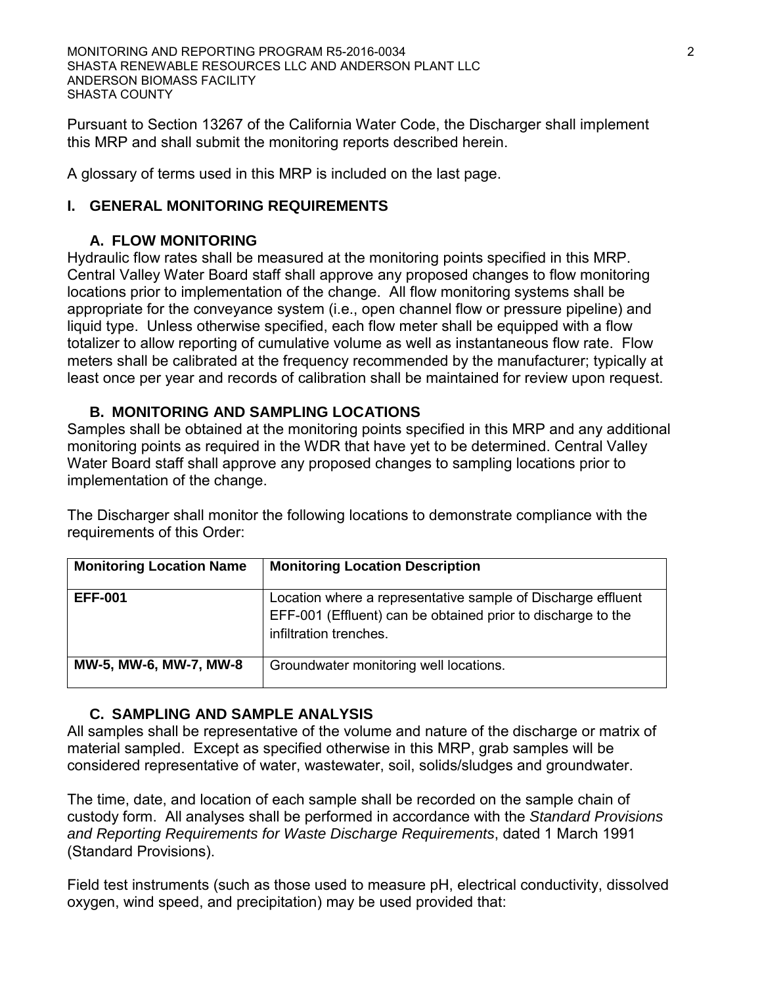MONITORING AND REPORTING PROGRAM R5-2016-0034 2 SHASTA RENEWABLE RESOURCES LLC AND ANDERSON PLANT LLC ANDERSON BIOMASS FACILITY SHASTA COUNTY

Pursuant to Section 13267 of the California Water Code, the Discharger shall implement this MRP and shall submit the monitoring reports described herein.

A glossary of terms used in this MRP is included on the last page.

## **I. GENERAL MONITORING REQUIREMENTS**

## **A. FLOW MONITORING**

Hydraulic flow rates shall be measured at the monitoring points specified in this MRP. Central Valley Water Board staff shall approve any proposed changes to flow monitoring locations prior to implementation of the change. All flow monitoring systems shall be appropriate for the conveyance system (i.e., open channel flow or pressure pipeline) and liquid type. Unless otherwise specified, each flow meter shall be equipped with a flow totalizer to allow reporting of cumulative volume as well as instantaneous flow rate. Flow meters shall be calibrated at the frequency recommended by the manufacturer; typically at least once per year and records of calibration shall be maintained for review upon request.

## **B. MONITORING AND SAMPLING LOCATIONS**

Samples shall be obtained at the monitoring points specified in this MRP and any additional monitoring points as required in the WDR that have yet to be determined. Central Valley Water Board staff shall approve any proposed changes to sampling locations prior to implementation of the change.

The Discharger shall monitor the following locations to demonstrate compliance with the requirements of this Order:

| <b>Monitoring Location Name</b> | <b>Monitoring Location Description</b>                                                                                                                 |
|---------------------------------|--------------------------------------------------------------------------------------------------------------------------------------------------------|
| <b>EFF-001</b>                  | Location where a representative sample of Discharge effluent<br>EFF-001 (Effluent) can be obtained prior to discharge to the<br>infiltration trenches. |
| MW-5, MW-6, MW-7, MW-8          | Groundwater monitoring well locations.                                                                                                                 |

## **C. SAMPLING AND SAMPLE ANALYSIS**

All samples shall be representative of the volume and nature of the discharge or matrix of material sampled. Except as specified otherwise in this MRP, grab samples will be considered representative of water, wastewater, soil, solids/sludges and groundwater.

The time, date, and location of each sample shall be recorded on the sample chain of custody form. All analyses shall be performed in accordance with the *Standard Provisions and Reporting Requirements for Waste Discharge Requirements*, dated 1 March 1991 (Standard Provisions).

Field test instruments (such as those used to measure pH, electrical conductivity, dissolved oxygen, wind speed, and precipitation) may be used provided that: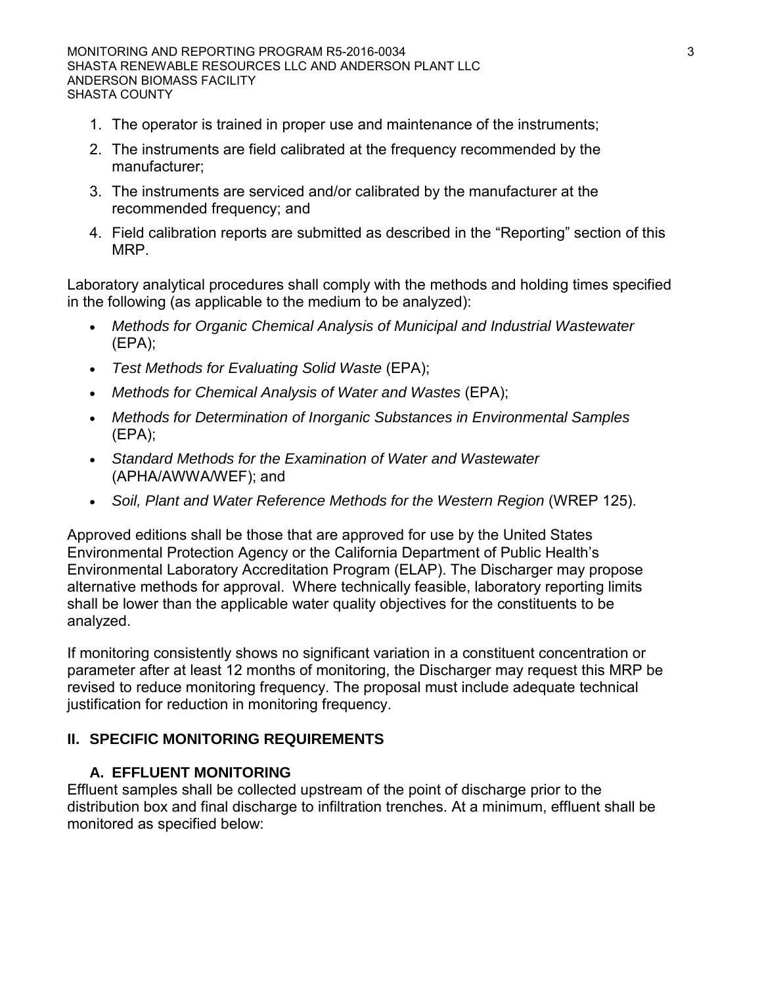- 1. The operator is trained in proper use and maintenance of the instruments;
- 2. The instruments are field calibrated at the frequency recommended by the manufacturer;
- 3. The instruments are serviced and/or calibrated by the manufacturer at the recommended frequency; and
- 4. Field calibration reports are submitted as described in the "Reporting" section of this MRP.

Laboratory analytical procedures shall comply with the methods and holding times specified in the following (as applicable to the medium to be analyzed):

- *Methods for Organic Chemical Analysis of Municipal and Industrial Wastewater*  (EPA);
- *Test Methods for Evaluating Solid Waste* (EPA);
- *Methods for Chemical Analysis of Water and Wastes* (EPA);
- *Methods for Determination of Inorganic Substances in Environmental Samples*  (EPA);
- *Standard Methods for the Examination of Water and Wastewater*  (APHA/AWWA/WEF); and
- Soil, Plant and Water Reference Methods for the Western Region (WREP 125).

Approved editions shall be those that are approved for use by the United States Environmental Protection Agency or the California Department of Public Health's Environmental Laboratory Accreditation Program (ELAP). The Discharger may propose alternative methods for approval. Where technically feasible, laboratory reporting limits shall be lower than the applicable water quality objectives for the constituents to be analyzed.

If monitoring consistently shows no significant variation in a constituent concentration or parameter after at least 12 months of monitoring, the Discharger may request this MRP be revised to reduce monitoring frequency. The proposal must include adequate technical justification for reduction in monitoring frequency.

## **II. SPECIFIC MONITORING REQUIREMENTS**

## **A. EFFLUENT MONITORING**

Effluent samples shall be collected upstream of the point of discharge prior to the distribution box and final discharge to infiltration trenches. At a minimum, effluent shall be monitored as specified below: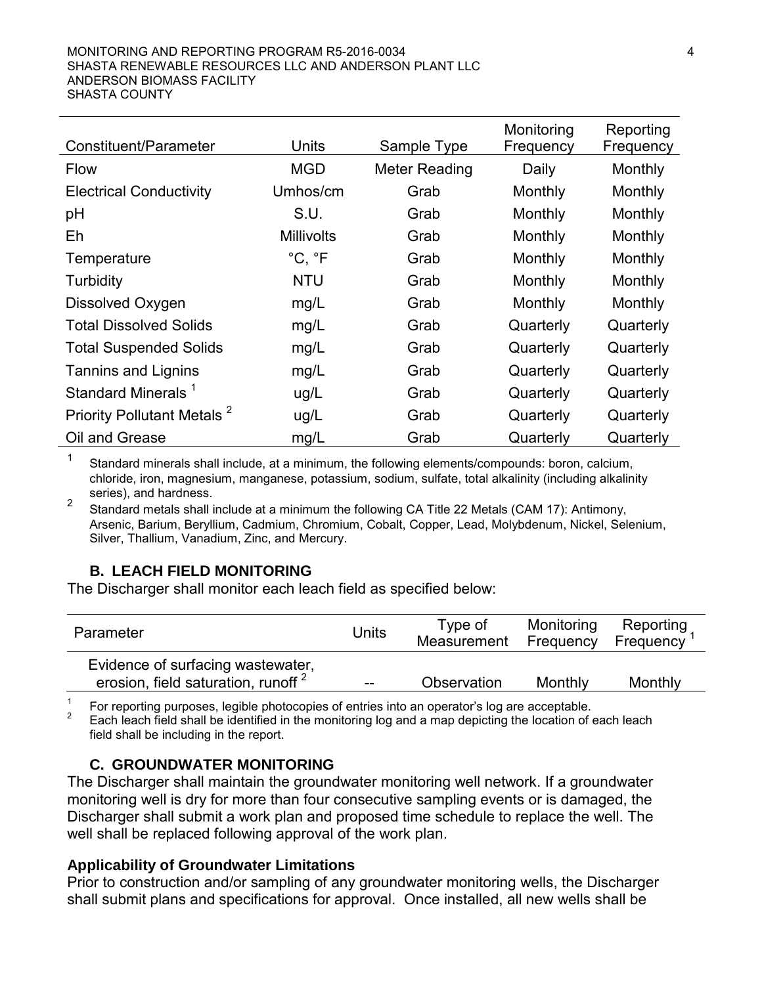| Constituent/Parameter                  | Units             | Sample Type   | Monitoring<br>Frequency | Reporting<br>Frequency |
|----------------------------------------|-------------------|---------------|-------------------------|------------------------|
| <b>Flow</b>                            | <b>MGD</b>        | Meter Reading | Daily                   | Monthly                |
| <b>Electrical Conductivity</b>         | Umhos/cm          | Grab          | Monthly                 | Monthly                |
| pH                                     | S.U.              | Grab          | Monthly                 | Monthly                |
| Eh                                     | <b>Millivolts</b> | Grab          | Monthly                 | Monthly                |
| Temperature                            | °C, °F            | Grab          | Monthly                 | Monthly                |
| Turbidity                              | <b>NTU</b>        | Grab          | Monthly                 | Monthly                |
| Dissolved Oxygen                       | mg/L              | Grab          | Monthly                 | Monthly                |
| <b>Total Dissolved Solids</b>          | mg/L              | Grab          | Quarterly               | Quarterly              |
| <b>Total Suspended Solids</b>          | mg/L              | Grab          | Quarterly               | Quarterly              |
| <b>Tannins and Lignins</b>             | mg/L              | Grab          | Quarterly               | Quarterly              |
| Standard Minerals <sup>1</sup>         | ug/L              | Grab          | Quarterly               | Quarterly              |
| Priority Pollutant Metals <sup>2</sup> | ug/L              | Grab          | Quarterly               | Quarterly              |
| Oil and Grease                         | mg/L              | Grab          | Quarterly               | Quarterly              |

1 Standard minerals shall include, at a minimum, the following elements/compounds: boron, calcium, chloride, iron, magnesium, manganese, potassium, sodium, sulfate, total alkalinity (including alkalinity series), and hardness.<br><sup>2</sup> Standard metals shall include at a minimum the following CA Title 22 Metals (CAM 17): Antimony,

Arsenic, Barium, Beryllium, Cadmium, Chromium, Cobalt, Copper, Lead, Molybdenum, Nickel, Selenium, Silver, Thallium, Vanadium, Zinc, and Mercury.

## **B. LEACH FIELD MONITORING**

The Discharger shall monitor each leach field as specified below:

| Parameter                                                                           | Units                                 | Type of<br>Measurement | Monitoring<br>Frequency | Reporting<br>Frequency |
|-------------------------------------------------------------------------------------|---------------------------------------|------------------------|-------------------------|------------------------|
| Evidence of surfacing wastewater,<br>erosion, field saturation, runoff <sup>2</sup> | $\hspace{0.05cm}$ – $\hspace{0.05cm}$ | Observation            | Monthly                 | Monthly                |

<sup>1</sup> For reporting purposes, legible photocopies of entries into an operator's log are acceptable.<br><sup>2</sup> Each leach field shall be identified in the monitoring log and a map depicting the location of each leach field shall be including in the report.

## **C. GROUNDWATER MONITORING**

The Discharger shall maintain the groundwater monitoring well network. If a groundwater monitoring well is dry for more than four consecutive sampling events or is damaged, the Discharger shall submit a work plan and proposed time schedule to replace the well. The well shall be replaced following approval of the work plan.

## **Applicability of Groundwater Limitations**

Prior to construction and/or sampling of any groundwater monitoring wells, the Discharger shall submit plans and specifications for approval. Once installed, all new wells shall be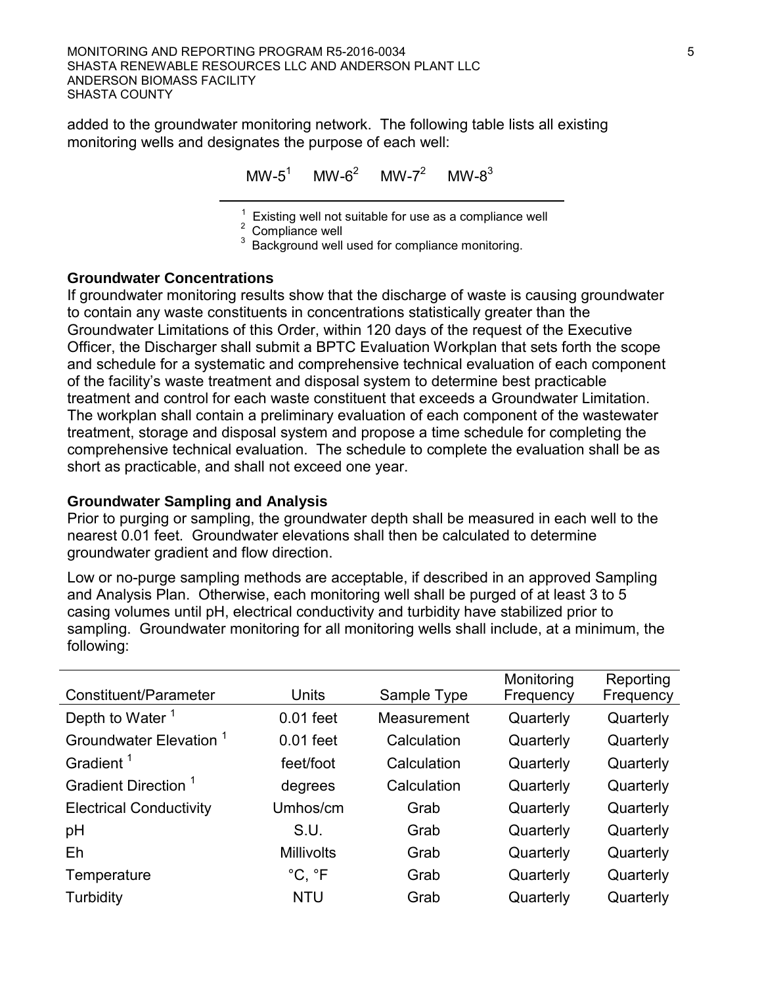added to the groundwater monitoring network. The following table lists all existing monitoring wells and designates the purpose of each well:

 $MW-5^1$  MW-6<sup>2</sup> MW-7<sup>2</sup> MW-8<sup>3</sup>

 $\overline{\phantom{a}}$  , which is a set of the set of the set of the set of the set of the set of the set of the set of the set of the set of the set of the set of the set of the set of the set of the set of the set of the set of th <sup>1</sup> Existing well not suitable for use as a compliance well  $\frac{2}{3}$  Compliance well used for compliance monitoring.

### **Groundwater Concentrations**

If groundwater monitoring results show that the discharge of waste is causing groundwater to contain any waste constituents in concentrations statistically greater than the Groundwater Limitations of this Order, within 120 days of the request of the Executive Officer, the Discharger shall submit a BPTC Evaluation Workplan that sets forth the scope and schedule for a systematic and comprehensive technical evaluation of each component of the facility's waste treatment and disposal system to determine best practicable treatment and control for each waste constituent that exceeds a Groundwater Limitation. The workplan shall contain a preliminary evaluation of each component of the wastewater treatment, storage and disposal system and propose a time schedule for completing the comprehensive technical evaluation. The schedule to complete the evaluation shall be as short as practicable, and shall not exceed one year.

## **Groundwater Sampling and Analysis**

Prior to purging or sampling, the groundwater depth shall be measured in each well to the nearest 0.01 feet. Groundwater elevations shall then be calculated to determine groundwater gradient and flow direction.

Low or no-purge sampling methods are acceptable, if described in an approved Sampling and Analysis Plan. Otherwise, each monitoring well shall be purged of at least 3 to 5 casing volumes until pH, electrical conductivity and turbidity have stabilized prior to sampling. Groundwater monitoring for all monitoring wells shall include, at a minimum, the following:

| Constituent/Parameter              | Units                  | Sample Type | Monitoring<br>Frequency | Reporting<br>Frequency |
|------------------------------------|------------------------|-------------|-------------------------|------------------------|
| Depth to Water <sup>1</sup>        | $0.01$ feet            | Measurement | Quarterly               | Quarterly              |
| Groundwater Elevation <sup>1</sup> | $0.01$ feet            | Calculation | Quarterly               | Quarterly              |
| Gradient <sup>1</sup>              | feet/foot              | Calculation | Quarterly               | Quarterly              |
| Gradient Direction <sup>1</sup>    | degrees                | Calculation | Quarterly               | Quarterly              |
| <b>Electrical Conductivity</b>     | Umhos/cm               | Grab        | Quarterly               | Quarterly              |
| pH                                 | S.U.                   | Grab        | Quarterly               | Quarterly              |
| Eh                                 | <b>Millivolts</b>      | Grab        | Quarterly               | Quarterly              |
| Temperature                        | $^{\circ}C, ^{\circ}F$ | Grab        | Quarterly               | Quarterly              |
| Turbidity                          | <b>NTU</b>             | Grab        | Quarterly               | Quarterly              |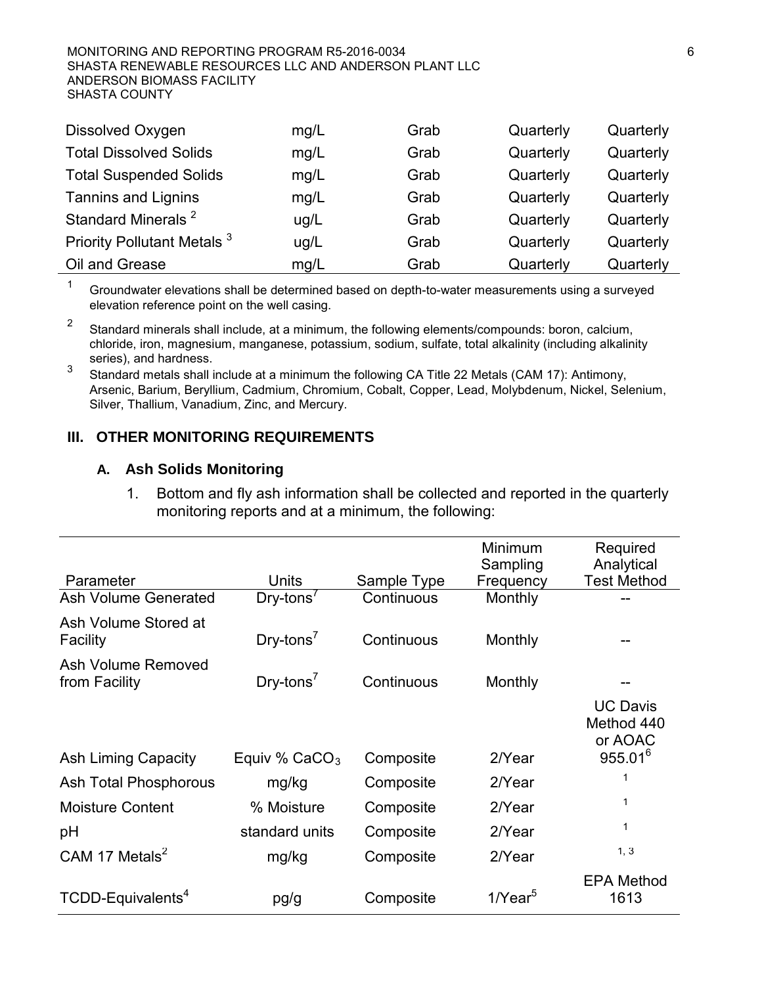#### MONITORING AND REPORTING PROGRAM R5-2016-0034 66 SHASTA RENEWABLE RESOURCES LLC AND ANDERSON PLANT LLC ANDERSON BIOMASS FACILITY SHASTA COUNTY

| Dissolved Oxygen                       | mg/L | Grab | Quarterly | Quarterly |
|----------------------------------------|------|------|-----------|-----------|
| <b>Total Dissolved Solids</b>          | mg/L | Grab | Quarterly | Quarterly |
| <b>Total Suspended Solids</b>          | mg/L | Grab | Quarterly | Quarterly |
| <b>Tannins and Lignins</b>             | mg/L | Grab | Quarterly | Quarterly |
| Standard Minerals <sup>2</sup>         | ug/L | Grab | Quarterly | Quarterly |
| Priority Pollutant Metals <sup>3</sup> | ug/L | Grab | Quarterly | Quarterly |
| Oil and Grease                         | mg/L | Grab | Quarterly | Quarterly |

 $1$  Groundwater elevations shall be determined based on depth-to-water measurements using a surveyed elevation reference point on the well casing.

2 Standard minerals shall include, at a minimum, the following elements/compounds: boron, calcium, chloride, iron, magnesium, manganese, potassium, sodium, sulfate, total alkalinity (including alkalinity

3 Standard metals shall include at a minimum the following CA Title 22 Metals (CAM 17): Antimony, Arsenic, Barium, Beryllium, Cadmium, Chromium, Cobalt, Copper, Lead, Molybdenum, Nickel, Selenium, Silver, Thallium, Vanadium, Zinc, and Mercury.

### **III. OTHER MONITORING REQUIREMENTS**

#### **A. Ash Solids Monitoring**

1. Bottom and fly ash information shall be collected and reported in the quarterly monitoring reports and at a minimum, the following:

| Parameter                           | <b>Units</b>                               | Sample Type | Minimum<br>Sampling<br>Frequency | Required<br>Analytical<br><b>Test Method</b>                    |
|-------------------------------------|--------------------------------------------|-------------|----------------------------------|-----------------------------------------------------------------|
| <b>Ash Volume Generated</b>         | $Dry$ -tons <sup><math>\prime</math></sup> | Continuous  | Monthly                          |                                                                 |
| Ash Volume Stored at<br>Facility    | $Dry$ -tons <sup>7</sup>                   | Continuous  | Monthly                          |                                                                 |
| Ash Volume Removed<br>from Facility | $Dry$ -tons <sup>7</sup>                   | Continuous  | Monthly                          |                                                                 |
| <b>Ash Liming Capacity</b>          | Equiv % $CaCO3$                            | Composite   | 2/Year                           | <b>UC Davis</b><br>Method 440<br>or AOAC<br>955.01 <sup>6</sup> |
| Ash Total Phosphorous               | mg/kg                                      | Composite   | 2/Year                           | 1                                                               |
| <b>Moisture Content</b>             | % Moisture                                 | Composite   | 2/Year                           | 1                                                               |
| рH                                  | standard units                             | Composite   | 2/Year                           | 1                                                               |
| CAM 17 Metals <sup>2</sup>          | mg/kg                                      | Composite   | 2/Year                           | 1, 3                                                            |
| TCDD-Equivalents <sup>4</sup>       | pg/g                                       | Composite   | 1/Year $5$                       | <b>EPA Method</b><br>1613                                       |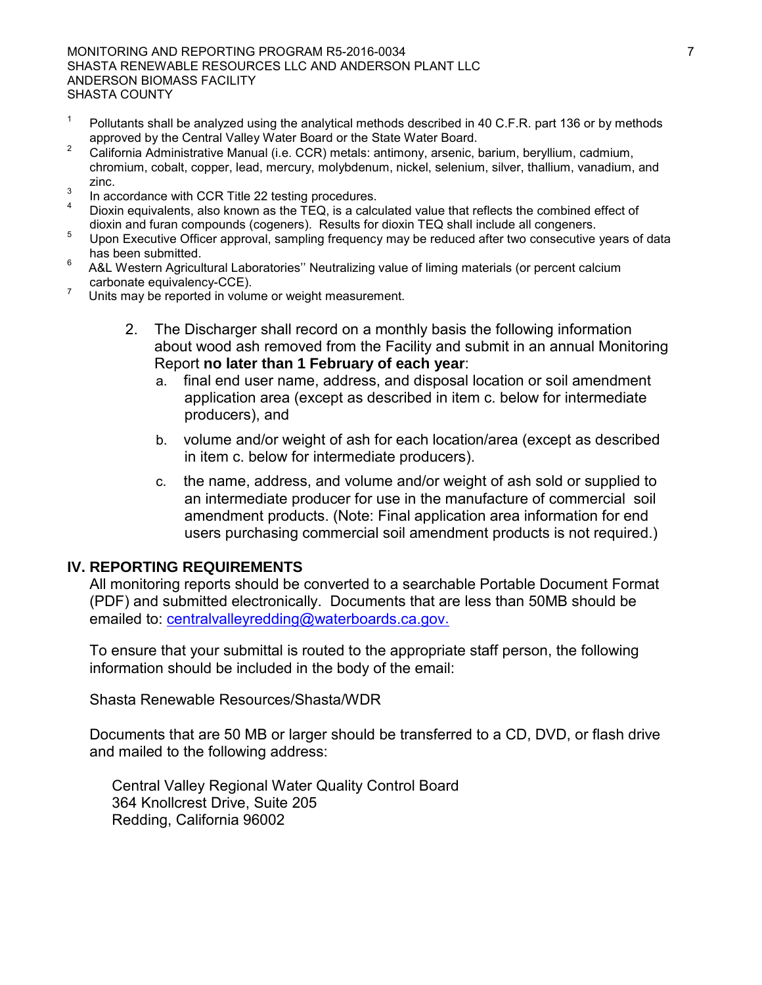MONITORING AND REPORTING PROGRAM R5-2016-0034 **7** 7 SHASTA RENEWABLE RESOURCES LLC AND ANDERSON PLANT LLC ANDERSON BIOMASS FACILITY SHASTA COUNTY

- Pollutants shall be analyzed using the analytical methods described in 40 C.F.R. part 136 or by methods approved by the Central Valley Water Board or the State Water Board.
- <sup>2</sup> California Administrative Manual (i.e. CCR) metals: antimony, arsenic, barium, beryllium, cadmium, chromium, cobalt, copper, lead, mercury, molybdenum, nickel, selenium, silver, thallium, vanadium, and zinc.
- 
- <sup>3</sup> In accordance with CCR Title 22 testing procedures.<br>
<sup>4</sup> Dioxin equivalents, also known as the TEQ, is a calculated value that reflects the combined effect of dioxin and furan compounds (cogeners). Results for dioxin T
- discussed all compounds for district for district for district for distribution and congeners. Suppose the congeners of data has been submitted.
- 6 A&L Western Agricultural Laboratories'' Neutralizing value of liming materials (or percent calcium carbonate equivalency-CCE).
- Units may be reported in volume or weight measurement.
	- 2. The Discharger shall record on a monthly basis the following information about wood ash removed from the Facility and submit in an annual Monitoring Report **no later than 1 February of each year**:
		- a. final end user name, address, and disposal location or soil amendment application area (except as described in item c. below for intermediate producers), and
		- b. volume and/or weight of ash for each location/area (except as described in item c. below for intermediate producers).
		- c. the name, address, and volume and/or weight of ash sold or supplied to an intermediate producer for use in the manufacture of commercial soil amendment products. (Note: Final application area information for end users purchasing commercial soil amendment products is not required.)

### **IV. REPORTING REQUIREMENTS**

All monitoring reports should be converted to a searchable Portable Document Format (PDF) and submitted electronically. Documents that are less than 50MB should be emailed to: [centralvalleyredding@waterboards.ca.gov.](mailto:centralvalleyredding@waterboards.ca.gov)

To ensure that your submittal is routed to the appropriate staff person, the following information should be included in the body of the email:

Shasta Renewable Resources/Shasta/WDR

Documents that are 50 MB or larger should be transferred to a CD, DVD, or flash drive and mailed to the following address:

Central Valley Regional Water Quality Control Board 364 Knollcrest Drive, Suite 205 Redding, California 96002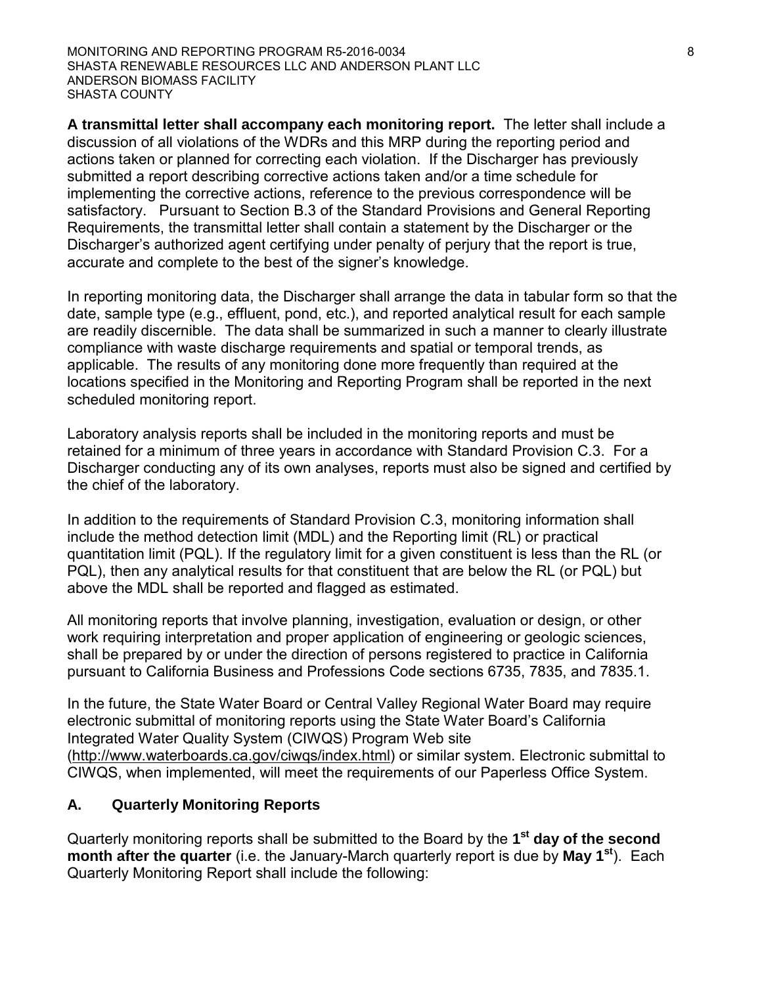MONITORING AND REPORTING PROGRAM R5-2016-0034 **8** 8 SHASTA RENEWABLE RESOURCES LLC AND ANDERSON PLANT LLC ANDERSON BIOMASS FACILITY SHASTA COUNTY

**A transmittal letter shall accompany each monitoring report.** The letter shall include a discussion of all violations of the WDRs and this MRP during the reporting period and actions taken or planned for correcting each violation. If the Discharger has previously submitted a report describing corrective actions taken and/or a time schedule for implementing the corrective actions, reference to the previous correspondence will be satisfactory. Pursuant to Section B.3 of the Standard Provisions and General Reporting Requirements, the transmittal letter shall contain a statement by the Discharger or the Discharger's authorized agent certifying under penalty of perjury that the report is true, accurate and complete to the best of the signer's knowledge.

In reporting monitoring data, the Discharger shall arrange the data in tabular form so that the date, sample type (e.g., effluent, pond, etc.), and reported analytical result for each sample are readily discernible. The data shall be summarized in such a manner to clearly illustrate compliance with waste discharge requirements and spatial or temporal trends, as applicable. The results of any monitoring done more frequently than required at the locations specified in the Monitoring and Reporting Program shall be reported in the next scheduled monitoring report.

Laboratory analysis reports shall be included in the monitoring reports and must be retained for a minimum of three years in accordance with Standard Provision C.3. For a Discharger conducting any of its own analyses, reports must also be signed and certified by the chief of the laboratory.

In addition to the requirements of Standard Provision C.3, monitoring information shall include the method detection limit (MDL) and the Reporting limit (RL) or practical quantitation limit (PQL). If the regulatory limit for a given constituent is less than the RL (or PQL), then any analytical results for that constituent that are below the RL (or PQL) but above the MDL shall be reported and flagged as estimated.

All monitoring reports that involve planning, investigation, evaluation or design, or other work requiring interpretation and proper application of engineering or geologic sciences, shall be prepared by or under the direction of persons registered to practice in California pursuant to California Business and Professions Code sections 6735, 7835, and 7835.1.

In the future, the State Water Board or Central Valley Regional Water Board may require electronic submittal of monitoring reports using the State Water Board's California Integrated Water Quality System (CIWQS) Program Web site (http://www.waterboards.ca.gov/ciwqs/index.html) or similar system. Electronic submittal to CIWQS, when implemented, will meet the requirements of our Paperless Office System.

## **A. Quarterly Monitoring Reports**

Quarterly monitoring reports shall be submitted to the Board by the **1st day of the second month after the quarter** (i.e. the January-March quarterly report is due by **May 1st**). Each Quarterly Monitoring Report shall include the following: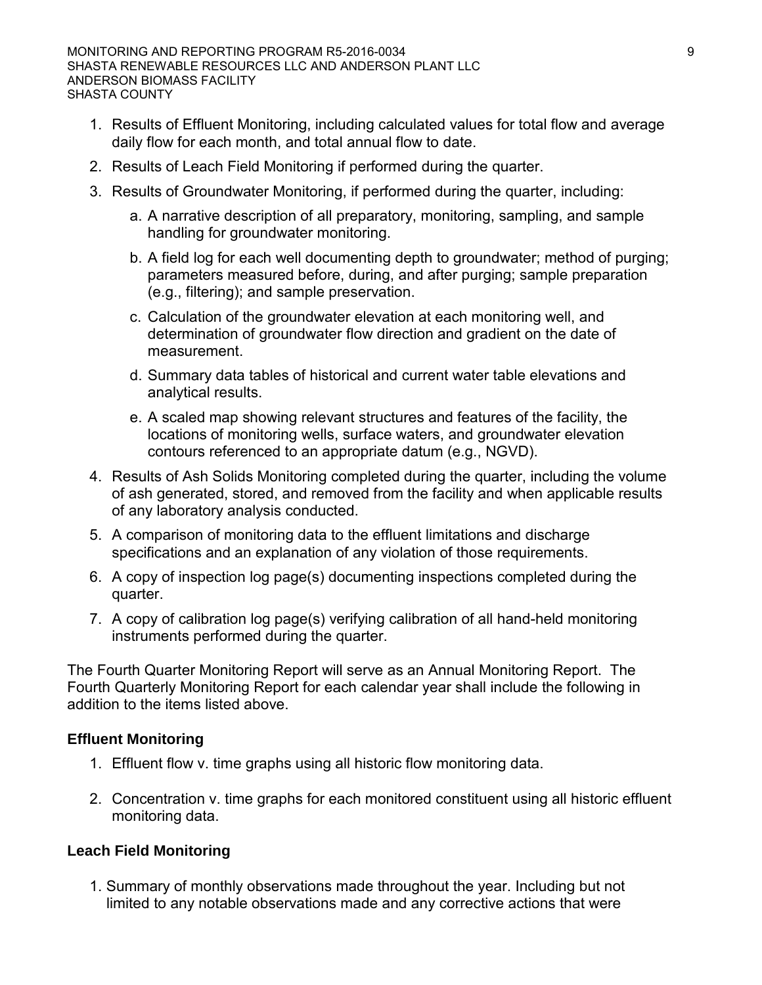- 1. Results of Effluent Monitoring, including calculated values for total flow and average daily flow for each month, and total annual flow to date.
- 2. Results of Leach Field Monitoring if performed during the quarter.
- 3. Results of Groundwater Monitoring, if performed during the quarter, including:
	- a. A narrative description of all preparatory, monitoring, sampling, and sample handling for groundwater monitoring.
	- b. A field log for each well documenting depth to groundwater; method of purging; parameters measured before, during, and after purging; sample preparation (e.g., filtering); and sample preservation.
	- c. Calculation of the groundwater elevation at each monitoring well, and determination of groundwater flow direction and gradient on the date of measurement.
	- d. Summary data tables of historical and current water table elevations and analytical results.
	- e. A scaled map showing relevant structures and features of the facility, the locations of monitoring wells, surface waters, and groundwater elevation contours referenced to an appropriate datum (e.g., NGVD).
- 4. Results of Ash Solids Monitoring completed during the quarter, including the volume of ash generated, stored, and removed from the facility and when applicable results of any laboratory analysis conducted.
- 5. A comparison of monitoring data to the effluent limitations and discharge specifications and an explanation of any violation of those requirements.
- 6. A copy of inspection log page(s) documenting inspections completed during the quarter.
- 7. A copy of calibration log page(s) verifying calibration of all hand-held monitoring instruments performed during the quarter.

The Fourth Quarter Monitoring Report will serve as an Annual Monitoring Report. The Fourth Quarterly Monitoring Report for each calendar year shall include the following in addition to the items listed above.

## **Effluent Monitoring**

- 1. Effluent flow v. time graphs using all historic flow monitoring data.
- 2. Concentration v. time graphs for each monitored constituent using all historic effluent monitoring data.

## **Leach Field Monitoring**

1. Summary of monthly observations made throughout the year. Including but not limited to any notable observations made and any corrective actions that were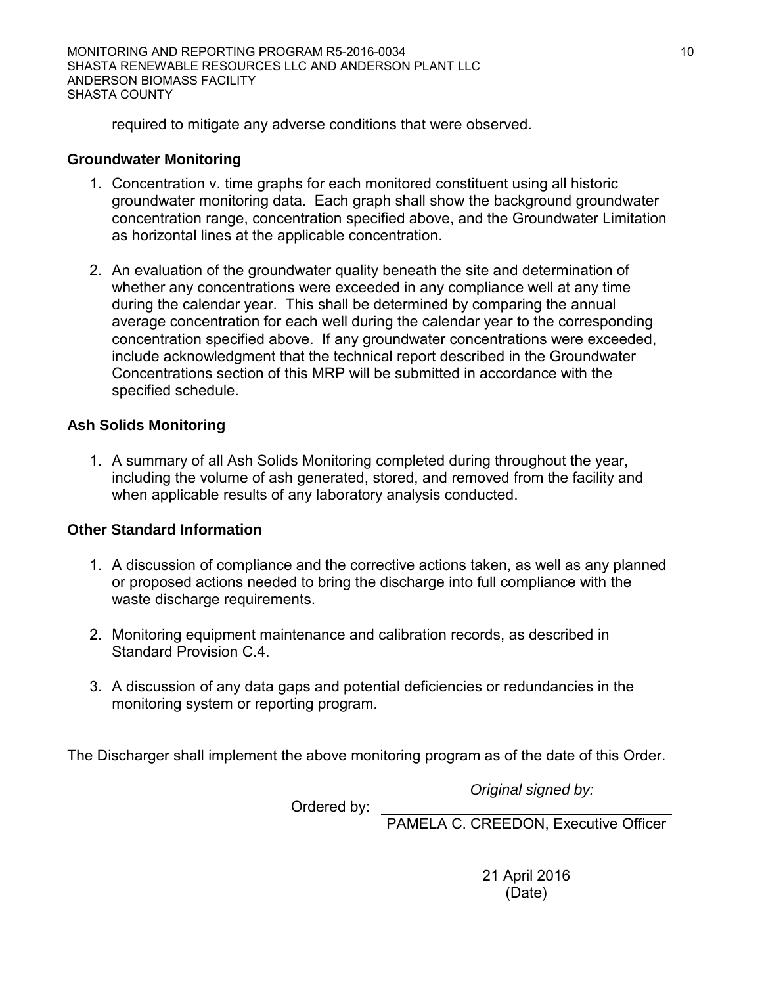MONITORING AND REPORTING PROGRAM R5-2016-0034 10 SHASTA RENEWABLE RESOURCES LLC AND ANDERSON PLANT LLC ANDERSON BIOMASS FACILITY SHASTA COUNTY

required to mitigate any adverse conditions that were observed.

## **Groundwater Monitoring**

- 1. Concentration v. time graphs for each monitored constituent using all historic groundwater monitoring data. Each graph shall show the background groundwater concentration range, concentration specified above, and the Groundwater Limitation as horizontal lines at the applicable concentration.
- 2. An evaluation of the groundwater quality beneath the site and determination of whether any concentrations were exceeded in any compliance well at any time during the calendar year. This shall be determined by comparing the annual average concentration for each well during the calendar year to the corresponding concentration specified above. If any groundwater concentrations were exceeded, include acknowledgment that the technical report described in the Groundwater Concentrations section of this MRP will be submitted in accordance with the specified schedule.

## **Ash Solids Monitoring**

1. A summary of all Ash Solids Monitoring completed during throughout the year, including the volume of ash generated, stored, and removed from the facility and when applicable results of any laboratory analysis conducted.

## **Other Standard Information**

- 1. A discussion of compliance and the corrective actions taken, as well as any planned or proposed actions needed to bring the discharge into full compliance with the waste discharge requirements.
- 2. Monitoring equipment maintenance and calibration records, as described in Standard Provision C.4.
- 3. A discussion of any data gaps and potential deficiencies or redundancies in the monitoring system or reporting program.

The Discharger shall implement the above monitoring program as of the date of this Order.

*Original signed by:*

Ordered by:

PAMELA C. CREEDON, Executive Officer

21 April 2016 (Date)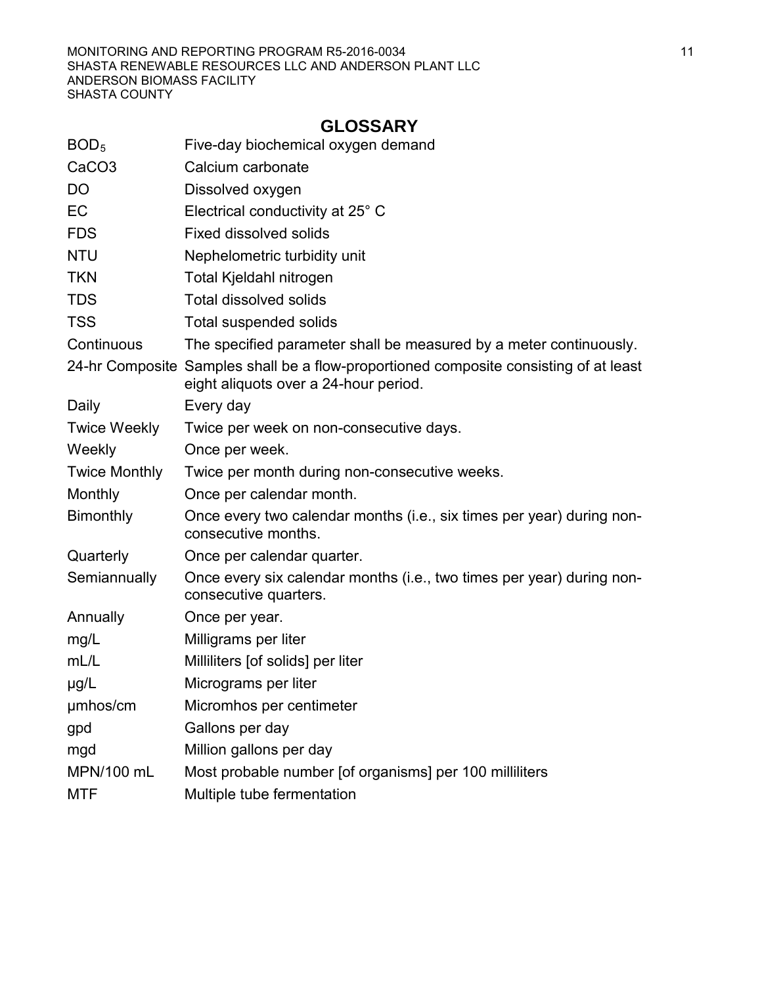# **GLOSSARY**

| BOD <sub>5</sub>     | Five-day biochemical oxygen demand                                                                                             |
|----------------------|--------------------------------------------------------------------------------------------------------------------------------|
| CaCO <sub>3</sub>    | Calcium carbonate                                                                                                              |
| <b>DO</b>            | Dissolved oxygen                                                                                                               |
| EC                   | Electrical conductivity at 25° C                                                                                               |
| <b>FDS</b>           | <b>Fixed dissolved solids</b>                                                                                                  |
| <b>NTU</b>           | Nephelometric turbidity unit                                                                                                   |
| <b>TKN</b>           | Total Kjeldahl nitrogen                                                                                                        |
| <b>TDS</b>           | <b>Total dissolved solids</b>                                                                                                  |
| <b>TSS</b>           | <b>Total suspended solids</b>                                                                                                  |
| Continuous           | The specified parameter shall be measured by a meter continuously.                                                             |
|                      | 24-hr Composite Samples shall be a flow-proportioned composite consisting of at least<br>eight aliquots over a 24-hour period. |
| Daily                | Every day                                                                                                                      |
| <b>Twice Weekly</b>  | Twice per week on non-consecutive days.                                                                                        |
| Weekly               | Once per week.                                                                                                                 |
| <b>Twice Monthly</b> | Twice per month during non-consecutive weeks.                                                                                  |
| Monthly              | Once per calendar month.                                                                                                       |
| <b>Bimonthly</b>     | Once every two calendar months (i.e., six times per year) during non-<br>consecutive months.                                   |
| Quarterly            | Once per calendar quarter.                                                                                                     |
| Semiannually         | Once every six calendar months (i.e., two times per year) during non-<br>consecutive quarters.                                 |
| Annually             | Once per year.                                                                                                                 |
| mg/L                 | Milligrams per liter                                                                                                           |
| mL/L                 | Milliliters [of solids] per liter                                                                                              |
| $\mu$ g/L            | Micrograms per liter                                                                                                           |
| umhos/cm             | Micromhos per centimeter                                                                                                       |
| gpd                  | Gallons per day                                                                                                                |
| mgd                  | Million gallons per day                                                                                                        |
| MPN/100 mL           | Most probable number [of organisms] per 100 milliliters                                                                        |
| <b>MTF</b>           | Multiple tube fermentation                                                                                                     |